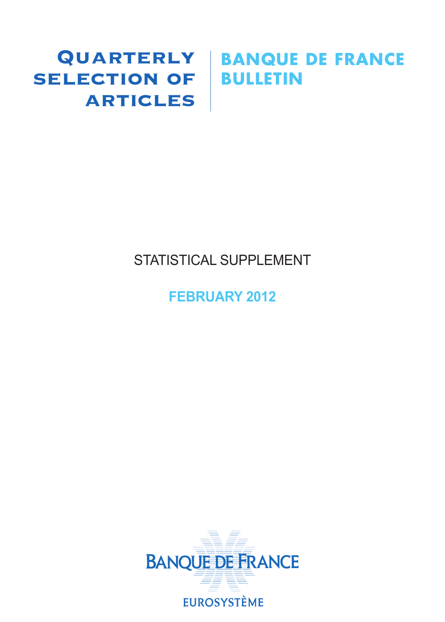## **SELECTION OF BULLETIN ARTICLES**

# Quarterly **BANQUE DE FRANCE**

## STATISTICAL SUPPLEMENT

## **FEBRUARY 2012**

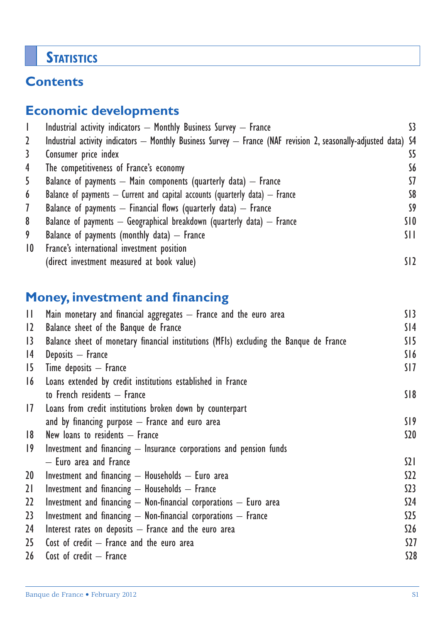## **STATISTICS**

## **Contents**

### **Economic developments**

|                 | Industrial activity indicators - Monthly Business Survey - France                                               | 33              |
|-----------------|-----------------------------------------------------------------------------------------------------------------|-----------------|
| 2               | Industrial activity indicators — Monthly Business Survey — France (NAF revision 2, seasonally-adjusted data) S4 |                 |
| 3               | Consumer price index                                                                                            | S5              |
| 4               | The competitiveness of France's economy                                                                         | S6              |
| 5               | Balance of payments $-$ Main components (quarterly data) $-$ France                                             | 57              |
| 6               | Balance of payments $-$ Current and capital accounts (quarterly data) $-$ France                                | S8              |
| $\mathcal{I}$   | Balance of payments $-$ Financial flows (quarterly data) $-$ France                                             | S9              |
| 8               | Balance of payments $-$ Geographical breakdown (quarterly data) $-$ France                                      | SI O            |
| 9               | Balance of payments (monthly data) $-$ France                                                                   | SH.             |
| $\overline{10}$ | France's international investment position                                                                      |                 |
|                 | (direct investment measured at book value)                                                                      | SI <sub>2</sub> |

## **Money, investment and financing**

| $\mathbf{H}$    | Main monetary and financial aggregates $-$ France and the euro area                    | S13             |
|-----------------|----------------------------------------------------------------------------------------|-----------------|
| 12              | Balance sheet of the Banque de France                                                  | S <sub>14</sub> |
| $\overline{13}$ | Balance sheet of monetary financial institutions (MFIs) excluding the Banque de France | SI5             |
| 4               | Deposits - France                                                                      | S16             |
| 15 <sup>2</sup> | Time deposits $-$ France                                                               | SI <sub>7</sub> |
| 16              | Loans extended by credit institutions established in France                            |                 |
|                 | to French residents - France                                                           | S18             |
| 17              | Loans from credit institutions broken down by counterpart                              |                 |
|                 | and by financing purpose $-$ France and euro area                                      | S19             |
| 8               | New loans to residents $-$ France                                                      | S <sub>20</sub> |
| 19              | Investment and financing $-$ Insurance corporations and pension funds                  |                 |
|                 | - Euro area and France                                                                 | $\Omega$        |
| 20              | Investment and financing $-$ Households $-$ Euro area                                  | S22             |
| 21              | Investment and financing - Households - France                                         | S <sub>23</sub> |
| 22              | Investment and financing $-$ Non-financial corporations $-$ Euro area                  | S24             |
| 23              | Investment and financing $-$ Non-financial corporations $-$ France                     | S <sub>25</sub> |
| 24              | Interest rates on deposits $-$ France and the euro area                                | \$26            |
| 25              | Cost of credit $-$ France and the euro area                                            | <b>S27</b>      |
| 26 <sup>2</sup> | Cost of credit $-$ France                                                              | <b>S28</b>      |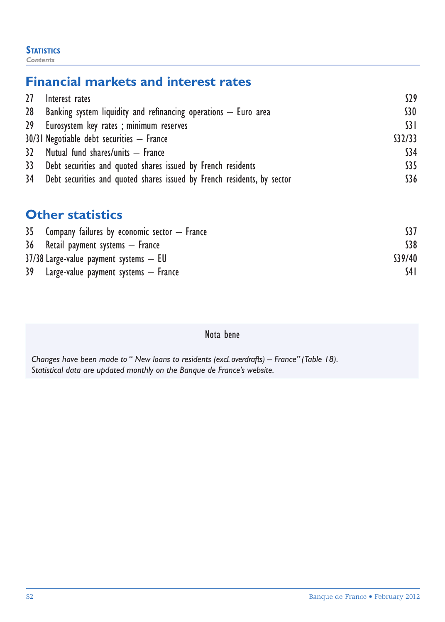#### **STATISTICS**

*Contents*

## **Financial markets and interest rates**

| 27 Interest rates                                                          | S29             |
|----------------------------------------------------------------------------|-----------------|
| 28 Banking system liquidity and refinancing operations – Euro area         | S30             |
| 29 Eurosystem key rates; minimum reserves                                  | $\overline{31}$ |
| $30/31$ Negotiable debt securities $-$ France                              | \$32/33         |
| 32 Mutual fund shares/units - France                                       | \$34            |
| 33 Debt securities and quoted shares issued by French residents            | \$35            |
| 34 Debt securities and quoted shares issued by French residents, by sector | \$36            |

## **Other statistics**

| $35$ Company failures by economic sector $-$ France |         |
|-----------------------------------------------------|---------|
| 36 Retail payment systems – France                  | \$38    |
| $37/38$ Large-value payment systems $-$ EU          | \$39/40 |
| 39 Large-value payment systems – France             | S4 I    |

#### Nota bene

*Changes have been made to " New loans to residents (excl. overdrafts) – France" (Table 18). Statistical data are updated monthly on the Banque de France's website.*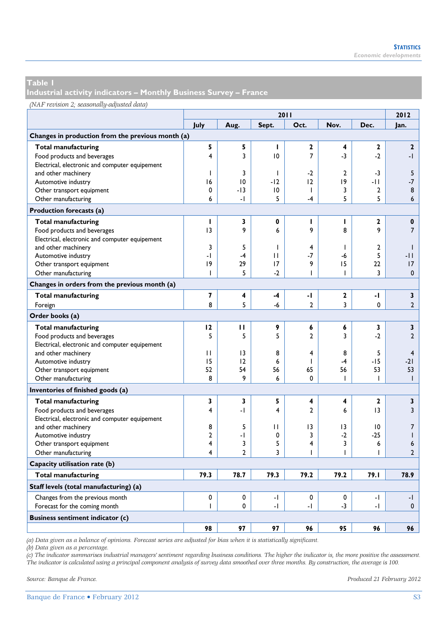**Industrial activity indicators – Monthly Business Survey – France** 

#### *(NAF revision 2; seasonally-adjusted data)*

|                                                   | 2011                     |                 |       |                |                |                |                |  |
|---------------------------------------------------|--------------------------|-----------------|-------|----------------|----------------|----------------|----------------|--|
|                                                   | July                     | Aug.            | Sept. | Oct.           | Nov.           | Dec.           | Jan.           |  |
| Changes in production from the previous month (a) |                          |                 |       |                |                |                |                |  |
| <b>Total manufacturing</b>                        | 5                        | 5               | I.    | $\mathbf{2}$   | 4              | $\mathbf{2}$   | $\mathbf{2}$   |  |
| Food products and beverages                       | 4                        | 3               | 10    | $\overline{7}$ | $-3$           | $-2$           | -1             |  |
| Electrical, electronic and computer equipement    |                          |                 |       |                |                |                |                |  |
| and other machinery                               | ı                        | 3               | T     | $-2$           | $\overline{2}$ | $-3$           | 5              |  |
| Automotive industry                               | 16                       | 10              | $-12$ | 12             | 9              | -11            | $-7$           |  |
| Other transport equipment                         | 0                        | $-13$           | 10    | T              | 3              | $\overline{2}$ | 8              |  |
| Other manufacturing                               | 6                        | -1              | 5     | $-4$           | 5              | 5              | 6              |  |
| Production forecasts (a)                          |                          |                 |       |                |                |                |                |  |
| <b>Total manufacturing</b>                        | т                        | 3               | 0     | ı              | т              | $\mathbf{2}$   | $\pmb{0}$      |  |
| Food products and beverages                       | 3                        | 9               | 6     | 9              | 8              | 9              | $\overline{7}$ |  |
| Electrical, electronic and computer equipement    |                          |                 |       |                |                |                |                |  |
| and other machinery                               | 3                        | 5               | 1     | 4              | $\mathbf{I}$   | $\overline{2}$ | $\mathbf{I}$   |  |
| Automotive industry                               | $\overline{\phantom{0}}$ | $-4$            | п     | $-7$           | -6             | 5              | -11            |  |
| Other transport equipment                         | 9                        | 29              | 17    | 9              | 15             | 22             | 17             |  |
| Other manufacturing                               | ı                        | 5               | $-2$  | T              | ı              | 3              | $\mathbf{0}$   |  |
| Changes in orders from the previous month (a)     |                          |                 |       |                |                |                |                |  |
| <b>Total manufacturing</b>                        | 7                        | 4               | $-4$  | -1             | $\mathbf{2}$   | -1             | 3              |  |
| Foreign                                           | 8                        | 5               | $-6$  | $\overline{2}$ | 3              | 0              | $\overline{2}$ |  |
| Order books (a)                                   |                          |                 |       |                |                |                |                |  |
| <b>Total manufacturing</b>                        | 12                       | п               | 9     | 6              | 6              | 3              | 3              |  |
| Food products and beverages                       | 5                        | 5               | 5     | $\mathbf{c}$   | 3              | $-2$           | $\overline{2}$ |  |
| Electrical, electronic and computer equipement    |                          |                 |       |                |                |                |                |  |
| and other machinery                               | $\mathbf{H}$             | $\overline{13}$ | 8     | 4              | 8              | 5              | $\overline{4}$ |  |
| Automotive industry                               | 15                       | 12              | 6     | ı              | $-4$           | $-15$          | $-21$          |  |
| Other transport equipment                         | 52                       | 54              | 56    | 65             | 56             | 53             | 53             |  |
| Other manufacturing                               | 8                        | 9               | 6     | 0              | ı              | T              | $\mathbf{I}$   |  |
| Inventories of finished goods (a)                 |                          |                 |       |                |                |                |                |  |
| <b>Total manufacturing</b>                        | 3                        | 3               | 5     | 4              | 4              | $\mathbf{2}$   | 3              |  |
| Food products and beverages                       | 4                        | -1              | 4     | $\mathbf{c}$   | 6              | 13             | 3              |  |
| Electrical, electronic and computer equipement    |                          |                 |       |                |                |                |                |  |
| and other machinery                               | 8                        | 5               | П     | 3              | 13             | 10             | 7              |  |
| Automotive industry                               | $\overline{2}$           | -1              | 0     | 3              | $-2$           | $-25$          | $\mathsf{I}$   |  |
| Other transport equipment                         | 4                        | 3               | 5     | 4              | 3              | 6              | 6              |  |
| Other manufacturing                               | 4                        | $\overline{2}$  | 3     | ı              | ı              | ı              | $\overline{2}$ |  |
| Capacity utilisation rate (b)                     |                          |                 |       |                |                |                |                |  |
| <b>Total manufacturing</b>                        | 79.3                     | 78.7            | 79.3  | 79.2           | 79.2           | 79.I           | 78.9           |  |
| Staff levels (total manufacturing) (a)            |                          |                 |       |                |                |                |                |  |
| Changes from the previous month                   | $\Omega$                 | 0               | -1    | $\Omega$       | $\Omega$       | -1             | -1             |  |
| Forecast for the coming month                     | ı                        | 0               | $-1$  | -1             | $-3$           | -1             | $\mathbf{0}$   |  |
| <b>Business sentiment indicator (c)</b>           |                          |                 |       |                |                |                |                |  |
|                                                   | 98                       | 97              | 97    | 96             | 95             | 96             | 96             |  |

*(a) Data given as a balance of opinions. Forecast series are adjusted for bias when it is statistically significant.* 

*(b) Data given as a percentage.* 

*(c) The indicator summarises industrial managers' sentiment regarding business conditions. The higher the indicator is, the more positive the assessment. The indicator is calculated using a principal component analysis of survey data smoothed over three months. By construction, the average is 100.*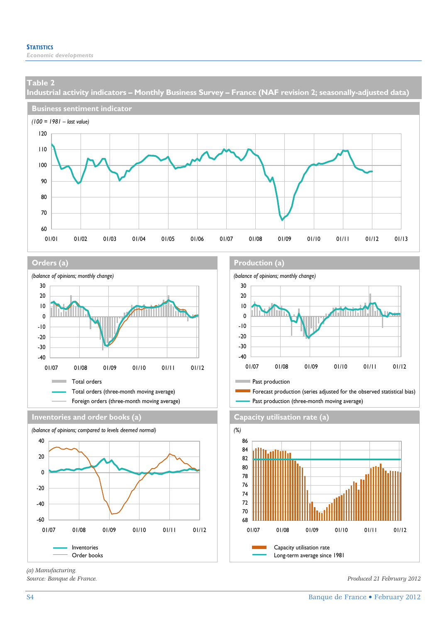**Industrial activity indicators – Monthly Business Survey – France (NAF revision 2; seasonally-adjusted data)** 







**Inventories and order books (a) Capacity utilisation rate (a)**



*(a) Manufacturing.* 

#### **Orders (a) Production (a) Production (a)**



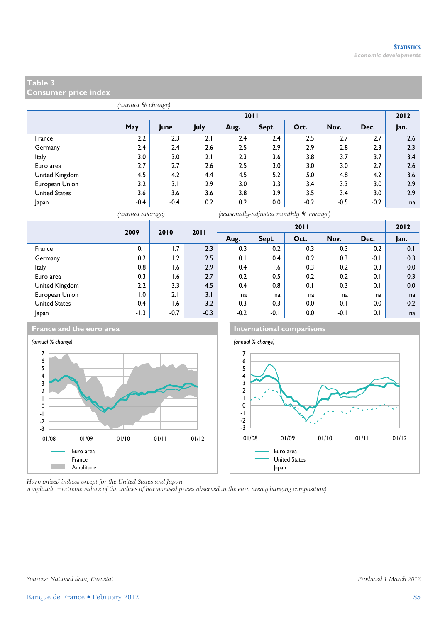**Consumer price index** 

|                      |                                                                     | 2011   |     |     |     |        |        |        |      |  |  |  |
|----------------------|---------------------------------------------------------------------|--------|-----|-----|-----|--------|--------|--------|------|--|--|--|
|                      | <b>May</b><br>Nov.<br>July<br>Oct.<br>Dec.<br>Sept.<br>Aug.<br>June |        |     |     |     |        |        |        | Jan. |  |  |  |
| France               | 2.2                                                                 | 2.3    | 2.1 | 2.4 | 2.4 | 2.5    | 2.7    | 2.7    | 2.6  |  |  |  |
| Germany              | 2.4                                                                 | 2.4    | 2.6 | 2.5 | 2.9 | 2.9    | 2.8    | 2.3    | 2.3  |  |  |  |
| Italy                | 3.0                                                                 | 3.0    | 2.1 | 2.3 | 3.6 | 3.8    | 3.7    | 3.7    | 3.4  |  |  |  |
| Euro area            | 2.7                                                                 | 2.7    | 2.6 | 2.5 | 3.0 | 3.0    | 3.0    | 2.7    | 2.6  |  |  |  |
| United Kingdom       | 4.5                                                                 | 4.2    | 4.4 | 4.5 | 5.2 | 5.0    | 4.8    | 4.2    | 3.6  |  |  |  |
| European Union       | 3.2                                                                 | 3.1    | 2.9 | 3.0 | 3.3 | 3.4    | 3.3    | 3.0    | 2.9  |  |  |  |
| <b>United States</b> | 3.6                                                                 | 3.6    | 3.6 | 3.8 | 3.9 | 3.5    | 3.4    | 3.0    | 2.9  |  |  |  |
| Japan                | $-0.4$                                                              | $-0.4$ | 0.2 | 0.2 | 0.0 | $-0.2$ | $-0.5$ | $-0.2$ | na   |  |  |  |

*(annual average) (seasonally-adjusted monthly % change)*

|                      | 2009<br>2010<br>2011 |        |        | 2011   |        |      |        |        | 2012    |
|----------------------|----------------------|--------|--------|--------|--------|------|--------|--------|---------|
|                      |                      |        |        | Aug.   | Sept.  | Oct. | Nov.   | Dec.   | Jan.    |
| France               | 0.1                  | 1.7    | 2.3    | 0.3    | 0.2    | 0.3  | 0.3    | 0.2    | 0.1     |
| Germany              | 0.2                  | 1.2    | 2.5    | 0.1    | 0.4    | 0.2  | 0.3    | $-0.1$ | 0.3     |
| Italy                | 0.8                  | 6. ا   | 2.9    | 0.4    | 6. ا   | 0.3  | 0.2    | 0.3    | $0.0\,$ |
| Euro area            | 0.3                  | 1.6    | 2.7    | 0.2    | 0.5    | 0.2  | 0.2    | 0.1    | 0.3     |
| United Kingdom       | 2.2                  | 3.3    | 4.5    | 0.4    | 0.8    | 0.1  | 0.3    | 0.1    | $0.0\,$ |
| European Union       | 0. ا                 | 2.1    | 3.1    | na     | na     | na   | na     | na     | na      |
| <b>United States</b> | $-0.4$               | 1.6    | 3.2    | 0.3    | 0.3    | 0.0  | 0.1    | 0.0    | 0.2     |
| Japan                | $-1.3$               | $-0.7$ | $-0.3$ | $-0.2$ | $-0.1$ | 0.0  | $-0.1$ | 0.1    | na      |







*Harmonised indices except for the United States and Japan.* 

*Amplitude =extreme values of the indices of harmonised prices observed in the euro area (changing composition).*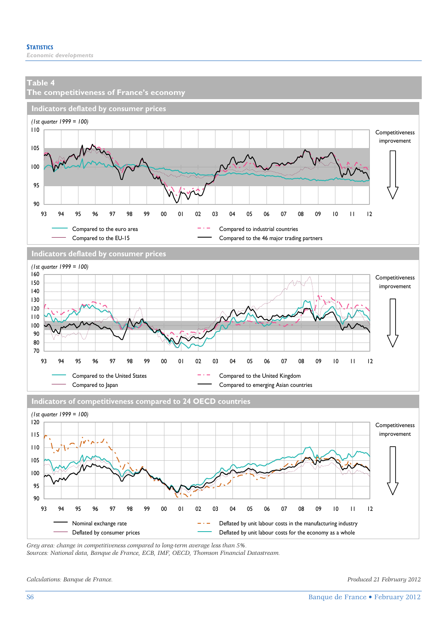

*Sources: National data, Banque de France, ECB, IMF, OECD, Thomson Financial Datastream.* 

*Calculations: Banque de France. Produced 21 February 2012*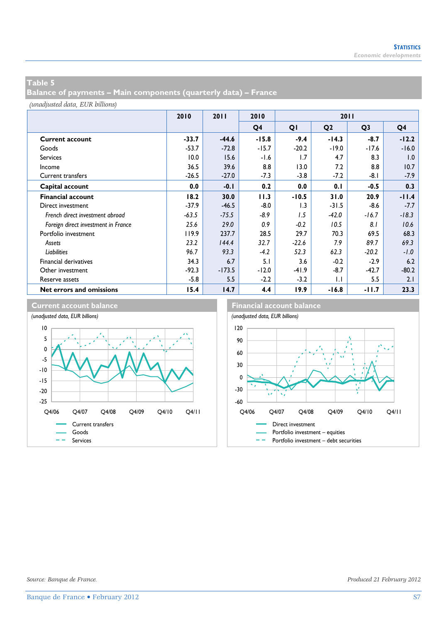**Balance of payments – Main components (quarterly data) – France** 

*(unadjusted data, EUR billions)*

|                                     | 2010    | 2011     | 2010    | 2011    |                |                |         |
|-------------------------------------|---------|----------|---------|---------|----------------|----------------|---------|
|                                     |         |          | Q4      | QI      | Q <sub>2</sub> | Q <sub>3</sub> | Q4      |
| <b>Current account</b>              | $-33.7$ | $-44.6$  | $-15.8$ | $-9.4$  | $-14.3$        | $-8.7$         | $-12.2$ |
| Goods                               | $-53.7$ | $-72.8$  | $-15.7$ | $-20.2$ | $-19.0$        | $-17.6$        | $-16.0$ |
| <b>Services</b>                     | 10.0    | 15.6     | $-1.6$  | 1.7     | 4.7            | 8.3            | 1.0     |
| Income                              | 36.5    | 39.6     | 8.8     | 13.0    | 7.2            | 8.8            | 10.7    |
| <b>Current transfers</b>            | $-26.5$ | $-27.0$  | $-7.3$  | $-3.8$  | $-7.2$         | $-8.1$         | -7.9    |
| Capital account                     | 0.0     | $-0.1$   | 0.2     | 0.0     | 0.1            | $-0.5$         | 0.3     |
| <b>Financial account</b>            | 18.2    | 30.0     | 11.3    | $-10.5$ | 31.0           | 20.9           | $-11.4$ |
| Direct investment                   | $-37.9$ | $-46.5$  | $-8.0$  | 1.3     | $-31.5$        | $-8.6$         | $-7.7$  |
| French direct investment abroad     | $-63.5$ | $-75.5$  | -8.9    | 1.5     | $-42.0$        | $-16.7$        | $-18.3$ |
| Foreign direct investment in France | 25.6    | 29.0     | 0.9     | $-0.2$  | 10.5           | 8.1            | 10.6    |
| Portfolio investment                | 119.9   | 237.7    | 28.5    | 29.7    | 70.3           | 69.5           | 68.3    |
| Assets                              | 23.2    | 144.4    | 32.7    | $-22.6$ | 7.9            | 89.7           | 69.3    |
| <b>Liabilities</b>                  | 96.7    | 93.3     | $-4.2$  | 52.3    | 62.3           | $-20.2$        | $-1.0$  |
| <b>Financial derivatives</b>        | 34.3    | 6.7      | 5.1     | 3.6     | $-0.2$         | $-2.9$         | 6.2     |
| Other investment                    | $-92.3$ | $-173.5$ | $-12.0$ | $-41.9$ | $-8.7$         | $-42.7$        | $-80.2$ |
| Reserve assets                      | $-5.8$  | 5.5      | $-2.2$  | $-3.2$  | $\mathsf{L}$   | 5.5            | 2.1     |
| Net errors and omissions            | 15.4    | 14.7     | 4.4     | 19.9    | $-16.8$        | -11.7          | 23.3    |

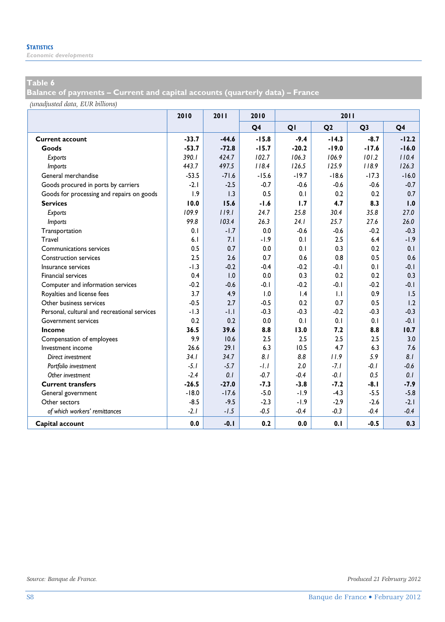*Economic developments* 

#### **Table 6**

**Balance of payments – Current and capital accounts (quarterly data) – France** 

*(unadjusted data, EUR billions)*

|                                              | 2010    | 2011    | 2010           | 2011    |                |                |                |
|----------------------------------------------|---------|---------|----------------|---------|----------------|----------------|----------------|
|                                              |         |         | Q <sub>4</sub> | QI      | Q <sub>2</sub> | Q <sub>3</sub> | Q <sub>4</sub> |
| <b>Current account</b>                       | $-33.7$ | $-44.6$ | $-15.8$        | $-9.4$  | $-14.3$        | $-8.7$         | $-12.2$        |
| Goods                                        | $-53.7$ | $-72.8$ | $-15.7$        | $-20.2$ | $-19.0$        | $-17.6$        | $-16.0$        |
| Exports                                      | 390.1   | 424.7   | 102.7          | 106.3   | 106.9          | 101.2          | 110.4          |
| <b>Imports</b>                               | 443.7   | 497.5   | 118.4          | 126.5   | 125.9          | 118.9          | 126.3          |
| General merchandise                          | $-53.5$ | $-71.6$ | $-15.6$        | $-19.7$ | $-18.6$        | $-17.3$        | $-16.0$        |
| Goods procured in ports by carriers          | $-2.1$  | $-2.5$  | $-0.7$         | $-0.6$  | $-0.6$         | $-0.6$         | $-0.7$         |
| Goods for processing and repairs on goods    | 1.9     | 1.3     | 0.5            | 0.1     | 0.2            | 0.2            | 0.7            |
| <b>Services</b>                              | 10.0    | 15.6    | $-1.6$         | 1.7     | 4.7            | 8.3            | 1.0            |
| Exports                                      | 109.9   | 119.1   | 24.7           | 25.8    | 30.4           | 35.8           | 27.0           |
| <b>Imports</b>                               | 99.8    | 103.4   | 26.3           | 24.1    | 25.7           | 27.6           | 26.0           |
| Transportation                               | 0.1     | $-1.7$  | 0.0            | $-0.6$  | $-0.6$         | $-0.2$         | $-0.3$         |
| Travel                                       | 6.1     | 7.1     | $-1.9$         | 0.1     | 2.5            | 6.4            | $-1.9$         |
| Communications services                      | 0.5     | 0.7     | 0.0            | 0.1     | 0.3            | 0.2            | 0.1            |
| <b>Construction services</b>                 | 2.5     | 2.6     | 0.7            | 0.6     | 0.8            | 0.5            | 0.6            |
| Insurance services                           | $-1.3$  | $-0.2$  | $-0.4$         | $-0.2$  | $-0.1$         | 0.1            | $-0.1$         |
| <b>Financial services</b>                    | 0.4     | 1.0     | 0.0            | 0.3     | 0.2            | 0.2            | 0.3            |
| Computer and information services            | $-0.2$  | $-0.6$  | $-0.1$         | $-0.2$  | $-0.1$         | $-0.2$         | $-0.1$         |
| Royalties and license fees                   | 3.7     | 4.9     | 1.0            | 1.4     | 1.1            | 0.9            | 1.5            |
| Other business services                      | $-0.5$  | 2.7     | $-0.5$         | 0.2     | 0.7            | 0.5            | 1.2            |
| Personal, cultural and recreational services | $-1.3$  | $-1.1$  | $-0.3$         | $-0.3$  | $-0.2$         | $-0.3$         | $-0.3$         |
| Government services                          | 0.2     | 0.2     | 0.0            | 0.1     | 0.1            | 0.1            | $-0.1$         |
| Income                                       | 36.5    | 39.6    | 8.8            | 13.0    | 7.2            | 8.8            | 10.7           |
| Compensation of employees                    | 9.9     | 10.6    | 2.5            | 2.5     | 2.5            | 2.5            | 3.0            |
| Investment income                            | 26.6    | 29.1    | 6.3            | 10.5    | 4.7            | 6.3            | 7.6            |
| Direct investment                            | 34.1    | 34.7    | 8.1            | 8.8     | 11.9           | 5.9            | 8.1            |
| Portfolio investment                         | $-5.1$  | $-5.7$  | $-1.1$         | 2.0     | $-7.1$         | $-0.1$         | $-0.6$         |
| Other investment                             | $-2.4$  | 0.1     | $-0.7$         | $-0.4$  | $-0.1$         | 0.5            | 0.1            |
| <b>Current transfers</b>                     | $-26.5$ | $-27.0$ | $-7.3$         | $-3.8$  | $-7.2$         | $-8.1$         | $-7.9$         |
| General government                           | $-18.0$ | $-17.6$ | $-5.0$         | $-1.9$  | $-4.3$         | $-5.5$         | $-5.8$         |
| Other sectors                                | $-8.5$  | $-9.5$  | $-2.3$         | $-1.9$  | $-2.9$         | $-2.6$         | $-2.1$         |
| of which workers' remittances                | $-2.1$  | $-1.5$  | $-0.5$         | $-0.4$  | $-0.3$         | $-0.4$         | $-0.4$         |
| Capital account                              | 0.0     | $-0.1$  | 0.2            | 0.0     | 0.1            | $-0.5$         | 0.3            |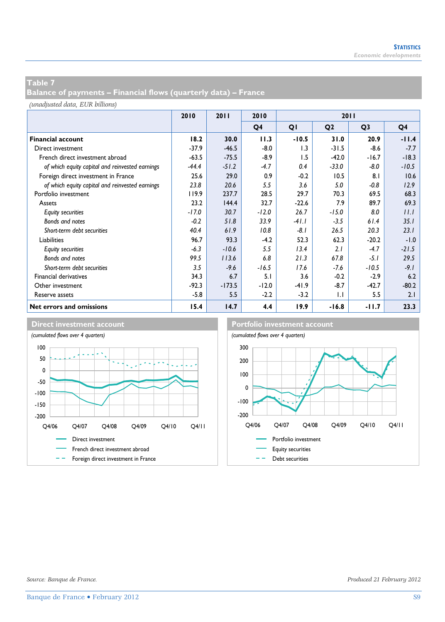**Balance of payments – Financial flows (quarterly data) – France** 

*(unadjusted data, EUR billions)*

|                                                 | 2010    | 2011<br>2010 |         | 2011    |                |                |         |  |
|-------------------------------------------------|---------|--------------|---------|---------|----------------|----------------|---------|--|
|                                                 |         |              | Q4      | QI      | Q <sub>2</sub> | Q <sub>3</sub> | Q4      |  |
| <b>Financial account</b>                        | 18.2    | 30.0         | 11.3    | $-10.5$ | 31.0           | 20.9           | $-11.4$ |  |
| Direct investment                               | $-37.9$ | $-46.5$      | $-8.0$  | 1.3     | $-31.5$        | $-8.6$         | $-7.7$  |  |
| French direct investment abroad                 | $-63.5$ | $-75.5$      | $-8.9$  | 1.5     | $-42.0$        | $-16.7$        | $-18.3$ |  |
| of which equity capital and reinvested earnings | $-44.4$ | $-51.2$      | $-4.7$  | 0.4     | $-33.0$        | $-8.0$         | $-10.5$ |  |
| Foreign direct investment in France             | 25.6    | 29.0         | 0.9     | $-0.2$  | 10.5           | 8.1            | 10.6    |  |
| of which equity capital and reinvested earnings | 23.8    | 20.6         | 5.5     | 3.6     | 5.0            | $-0.8$         | 12.9    |  |
| Portfolio investment                            | 119.9   | 237.7        | 28.5    | 29.7    | 70.3           | 69.5           | 68.3    |  |
| Assets                                          | 23.2    | 144.4        | 32.7    | $-22.6$ | 7.9            | 89.7           | 69.3    |  |
| <b>Equity securities</b>                        | $-17.0$ | 30.7         | $-12.0$ | 26.7    | $-15.0$        | 8.0            | 11.1    |  |
| Bonds and notes                                 | $-0.2$  | 51.8         | 33.9    | $-41.1$ | $-3.5$         | 61.4           | 35.1    |  |
| Short-term debt securities                      | 40.4    | 61.9         | 10.8    | $-8.1$  | 26.5           | 20.3           | 23.1    |  |
| Liabilities                                     | 96.7    | 93.3         | $-4.2$  | 52.3    | 62.3           | $-20.2$        | $-1.0$  |  |
| <b>Equity securities</b>                        | $-6.3$  | $-10.6$      | 5.5     | 13.4    | 2.1            | $-4.7$         | $-21.5$ |  |
| Bonds and notes                                 | 99.5    | 113.6        | 6.8     | 21.3    | 67.8           | $-5.1$         | 29.5    |  |
| Short-term debt securities                      | 3.5     | $-9.6$       | $-16.5$ | 17.6    | $-7.6$         | $-10.5$        | $-9.1$  |  |
| Financial derivatives                           | 34.3    | 6.7          | 5.1     | 3.6     | $-0.2$         | $-2.9$         | 6.2     |  |
| Other investment                                | $-92.3$ | $-173.5$     | $-12.0$ | $-41.9$ | $-8.7$         | $-42.7$        | $-80.2$ |  |
| Reserve assets                                  | $-5.8$  | 5.5          | $-2.2$  | $-3.2$  | $\mathsf{L}$   | 5.5            | 2.1     |  |
| Net errors and omissions                        | 15.4    | 14.7         | 4.4     | 19.9    | $-16.8$        | $-11.7$        | 23.3    |  |





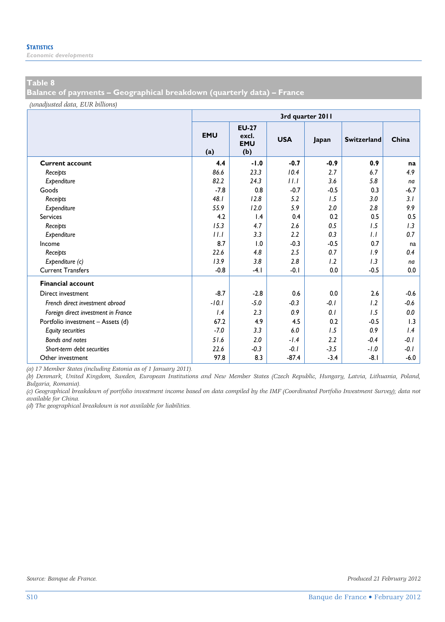*Economic developments* 

#### **Table 8**

**Balance of payments – Geographical breakdown (quarterly data) – France** 

*(unadjusted data, EUR billions)*

|                                     | 3rd quarter 2011  |                                            |            |        |                    |        |  |  |  |  |
|-------------------------------------|-------------------|--------------------------------------------|------------|--------|--------------------|--------|--|--|--|--|
|                                     | <b>EMU</b><br>(a) | <b>EU-27</b><br>excl.<br><b>EMU</b><br>(b) | <b>USA</b> | Japan  | <b>Switzerland</b> | China  |  |  |  |  |
| <b>Current account</b>              | 4.4               | $-1.0$                                     | $-0.7$     | $-0.9$ | 0.9                | na     |  |  |  |  |
| Receipts                            | 86.6              | 23.3                                       | 10.4       | 2.7    | 6.7                | 4.9    |  |  |  |  |
| Expenditure                         | 82.2              | 24.3                                       | 11.1       | 3.6    | 5.8                | na     |  |  |  |  |
| Goods                               | $-7.8$            | 0.8                                        | $-0.7$     | $-0.5$ | 0.3                | $-6.7$ |  |  |  |  |
| Receipts                            | 48.1              | 12.8                                       | 5.2        | 1.5    | 3.0                | 3.1    |  |  |  |  |
| Expenditure                         | 55.9              | 12.0                                       | 5.9        | 2.0    | 2.8                | 9.9    |  |  |  |  |
| <b>Services</b>                     | 4.2               | 1.4                                        | 0.4        | 0.2    | 0.5                | 0.5    |  |  |  |  |
| Receipts                            | 15.3              | 4.7                                        | 2.6        | 0.5    | 1.5                | 1.3    |  |  |  |  |
| Expenditure                         | 11.1              | 3.3                                        | 2.2        | 0.3    | 1.1                | 0.7    |  |  |  |  |
| Income                              | 8.7               | 1.0                                        | $-0.3$     | $-0.5$ | 0.7                | na     |  |  |  |  |
| Receipts                            | 22.6              | 4.8                                        | 2.5        | 0.7    | 1.9                | 0.4    |  |  |  |  |
| Expenditure (c)                     | 13.9              | 3.8                                        | 2.8        | 1.2    | 1.3                | na     |  |  |  |  |
| <b>Current Transfers</b>            | $-0.8$            | $-4.1$                                     | $-0.1$     | 0.0    | $-0.5$             | 0.0    |  |  |  |  |
| <b>Financial account</b>            |                   |                                            |            |        |                    |        |  |  |  |  |
| Direct investment                   | $-8.7$            | $-2.8$                                     | 0.6        | 0.0    | 2.6                | $-0.6$ |  |  |  |  |
| French direct investment abroad     | $-10.1$           | $-5.0$                                     | $-0.3$     | $-0.1$ | 1.2                | $-0.6$ |  |  |  |  |
| Foreign direct investment in France | 1.4               | 2.3                                        | 0.9        | 0.1    | 1.5                | 0.0    |  |  |  |  |
| Portfolio investment - Assets (d)   | 67.2              | 4.9                                        | 4.5        | 0.2    | $-0.5$             | 1.3    |  |  |  |  |
| <b>Equity securities</b>            | $-7.0$            | 3.3                                        | 6.0        | 1.5    | 0.9                | 1.4    |  |  |  |  |
| Bonds and notes                     | 51.6              | 2.0                                        | $-1.4$     | 2.2    | $-0.4$             | $-0.1$ |  |  |  |  |
| Short-term debt securities          | 22.6              | $-0.3$                                     | $-0.1$     | $-3.5$ | $-1.0$             | $-0.1$ |  |  |  |  |
| Other investment                    | 97.8              | 8.3                                        | $-87.4$    | $-3.4$ | $-8.1$             | $-6.0$ |  |  |  |  |

*(a) 17 Member States (including Estonia as of 1 January 2011).* 

*(b) Denmark, United Kingdom, Sweden, European Institutions and New Member States (Czech Republic, Hungary, Latvia, Lithuania, Poland, Bulgaria, Romania).* 

*(c) Geographical breakdown of portfolio investment income based on data compiled by the IMF (Coordinated Portfolio Investment Survey); data not available for China.* 

*(d) The geographical breakdown is not available for liabilities.*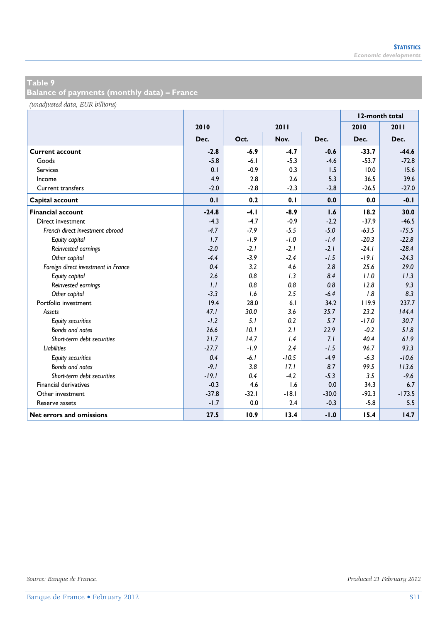**Balance of payments (monthly data) – France** 

*(unadjusted data, EUR billions)*

|                                     |         |         |         | 12-month total |         |          |
|-------------------------------------|---------|---------|---------|----------------|---------|----------|
|                                     | 2010    |         | 2011    |                | 2010    | 2011     |
|                                     | Dec.    | Oct.    | Nov.    | Dec.           | Dec.    | Dec.     |
| <b>Current account</b>              | $-2.8$  | $-6.9$  | $-4.7$  | $-0.6$         | $-33.7$ | $-44.6$  |
| Goods                               | $-5.8$  | $-6.1$  | $-5.3$  | $-4.6$         | $-53.7$ | $-72.8$  |
| <b>Services</b>                     | 0.1     | $-0.9$  | 0.3     | 1.5            | 10.0    | 15.6     |
| Income                              | 4.9     | 2.8     | 2.6     | 5.3            | 36.5    | 39.6     |
| <b>Current transfers</b>            | $-2.0$  | $-2.8$  | $-2.3$  | $-2.8$         | $-26.5$ | $-27.0$  |
| Capital account                     | 0.1     | 0.2     | 0.1     | 0.0            | 0.0     | $-0.1$   |
| <b>Financial account</b>            | $-24.8$ | $-4.1$  | $-8.9$  | 1.6            | 18.2    | 30.0     |
| Direct investment                   | $-4.3$  | $-4.7$  | $-0.9$  | $-2.2$         | $-37.9$ | $-46.5$  |
| French direct investment abroad     | $-4.7$  | $-7.9$  | $-5.5$  | $-5.0$         | $-63.5$ | $-75.5$  |
| Equity capital                      | 1.7     | $-1.9$  | $-1.0$  | $-1.4$         | $-20.3$ | $-22.8$  |
| Reinvested earnings                 | $-2.0$  | $-2.1$  | $-2.1$  | $-2.1$         | $-24.1$ | $-28.4$  |
| Other capital                       | $-4.4$  | $-3.9$  | $-2.4$  | $-1.5$         | $-19.1$ | $-24.3$  |
| Foreign direct investment in France | 0.4     | 3.2     | 4.6     | 2.8            | 25.6    | 29.0     |
| Equity capital                      | 2.6     | 0.8     | 1.3     | 8.4            | 11.0    | 11.3     |
| Reinvested earnings                 | 1.1     | 0.8     | 0.8     | 0.8            | 12.8    | 9.3      |
| Other capital                       | $-3.3$  | 1.6     | 2.5     | $-6.4$         | 1.8     | 8.3      |
| Portfolio investment                | 19.4    | 28.0    | 6.1     | 34.2           | 119.9   | 237.7    |
| Assets                              | 47.1    | 30.0    | 3.6     | 35.7           | 23.2    | 144.4    |
| <b>Equity securities</b>            | $-1.2$  | 5.1     | 0.2     | 5.7            | $-17.0$ | 30.7     |
| <b>Bonds and notes</b>              | 26.6    | 10.1    | 2.1     | 22.9           | $-0.2$  | 51.8     |
| Short-term debt securities          | 21.7    | 14.7    | 1.4     | 7.1            | 404     | 61.9     |
| <b>Liabilities</b>                  | $-27.7$ | $-1.9$  | 2.4     | $-1.5$         | 96.7    | 93.3     |
| <b>Equity securities</b>            | 0.4     | $-6.1$  | $-10.5$ | $-4.9$         | $-6.3$  | $-10.6$  |
| Bonds and notes                     | $-9.1$  | 3.8     | 17.1    | 8.7            | 99.5    | 113.6    |
| Short-term debt securities          | $-19.1$ | 0.4     | $-4.2$  | $-5.3$         | 3.5     | $-9.6$   |
| <b>Financial derivatives</b>        | $-0.3$  | 4.6     | 1.6     | 0.0            | 34.3    | 6.7      |
| Other investment                    | $-37.8$ | $-32.1$ | $-18.1$ | $-30.0$        | $-92.3$ | $-173.5$ |
| Reserve assets                      | $-1.7$  | 0.0     | 2.4     | $-0.3$         | $-5.8$  | 5.5      |
| Net errors and omissions            | 27.5    | 10.9    | 13.4    | $-1.0$         | 15.4    | 14.7     |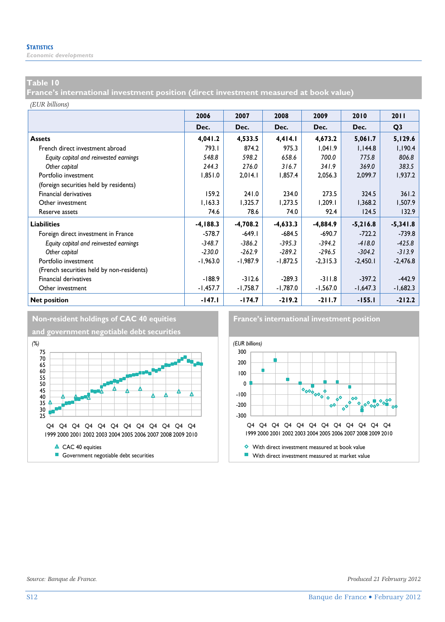*Economic developments* 

#### **Table 10**

**France's international investment position (direct investment measured at book value)** 

*(EUR billions)*

|                                           | 2006        | 2007       | 2008       | 2009       | 2010       | 2011           |
|-------------------------------------------|-------------|------------|------------|------------|------------|----------------|
|                                           | Dec.        | Dec.       | Dec.       | Dec.       | Dec.       | Q <sub>3</sub> |
| <b>Assets</b>                             | 4,041.2     | 4,533.5    | 4,414.1    | 4,673.2    | 5,061.7    | 5,129.6        |
| French direct investment abroad           | 793.1       | 874.2      | 975.3      | 1,041.9    | 1,144.8    | 1,190.4        |
| Equity capital and reinvested earnings    | 548.8       | 598.2      | 658.6      | 700.0      | 775.8      | 806.8          |
| Other capital                             | 244.3       | 276.0      | 316.7      | 341.9      | 369.0      | 383.5          |
| Portfolio investment                      | 1,851.0     | 2,014.1    | 1,857.4    | 2,056.3    | 2,099.7    | 1,937.2        |
| (foreign securities held by residents)    |             |            |            |            |            |                |
| Financial derivatives                     | 159.2       | 241.0      | 234.0      | 273.5      | 324.5      | 361.2          |
| Other investment                          | 1,163.3     | 1,325.7    | 1,273.5    | 1,209.1    | 1,368.2    | 1,507.9        |
| Reserve assets                            | 74.6        | 78.6       | 74.0       | 92.4       | 124.5      | 132.9          |
| <b>Liabilities</b>                        | $-4, 188.3$ | $-4,708.2$ | $-4,633.3$ | $-4,884.9$ | $-5,216.8$ | $-5,341.8$     |
| Foreign direct investment in France       | $-578.7$    | $-649.1$   | $-684.5$   | $-690.7$   | $-722.2$   | $-739.8$       |
| Equity capital and reinvested earnings    | $-348.7$    | $-386.2$   | $-395.3$   | $-394.2$   | $-418.0$   | $-425.8$       |
| Other capital                             | $-230.0$    | $-262.9$   | $-289.2$   | $-296.5$   | $-304.2$   | $-313.9$       |
| Portfolio investment                      | $-1,963.0$  | $-1,987.9$ | $-1,872.5$ | $-2,315.3$ | $-2,450.1$ | $-2,476.8$     |
| (French securities held by non-residents) |             |            |            |            |            |                |
| Financial derivatives                     | $-188.9$    | $-312.6$   | $-289.3$   | $-311.8$   | $-397.2$   | $-442.9$       |
| Other investment                          | -1,457.7    | $-1,758.7$ | -1,787.0   | $-1,567.0$ | $-1,647.3$ | $-1,682.3$     |
| <b>Net position</b>                       | $-147.1$    | $-174.7$   | $-219.2$   | $-211.7$   | $-155.1$   | $-212.2$       |



**and government negotiable debt securities**



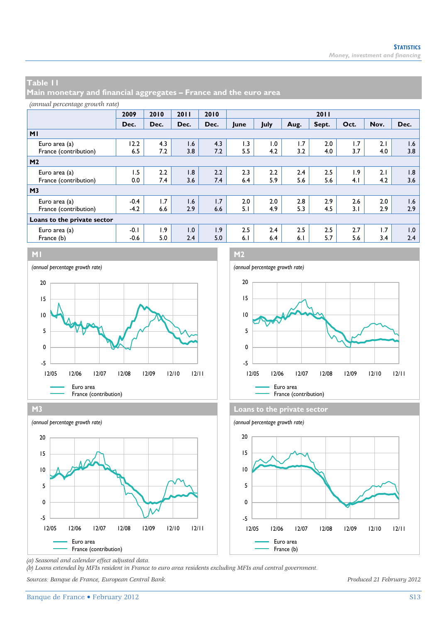**Main monetary and financial aggregates – France and the euro area** 

| (annual percentage growth rate) |  |
|---------------------------------|--|
|---------------------------------|--|

|                             | 2009   | 2010 | 2011 | 2010 | 2011 |      |      |       |      |      |      |
|-----------------------------|--------|------|------|------|------|------|------|-------|------|------|------|
|                             | Dec.   | Dec. | Dec. | Dec. | lune | July | Aug. | Sept. | Oct. | Nov. | Dec. |
| M <sub>1</sub>              |        |      |      |      |      |      |      |       |      |      |      |
| Euro area (a)               | 12.2   | 4.3  | 1.6  | 4.3  | 1.3  | 1.0  | 1.7  | 2.0   | 1.7  | 2.1  | 1.6  |
| France (contribution)       | 6.5    | 7.2  | 3.8  | 7.2  | 5.5  | 4.2  | 3.2  | 4.0   | 3.7  | 4.0  | 3.8  |
| M <sub>2</sub>              |        |      |      |      |      |      |      |       |      |      |      |
| Euro area (a)               | 1.5    | 2.2  | 1.8  | 2.2  | 2.3  | 2.2  | 2.4  | 2.5   | 1.9  | 2.1  | 1.8  |
| France (contribution)       | 0.0    | 7.4  | 3.6  | 7.4  | 6.4  | 5.9  | 5.6  | 5.6   | 4.1  | 4.2  | 3.6  |
| M <sub>3</sub>              |        |      |      |      |      |      |      |       |      |      |      |
| Euro area (a)               | $-0.4$ | 1.7  | 1.6  | 1.7  | 2.0  | 2.0  | 2.8  | 2.9   | 2.6  | 2.0  | 1.6  |
| France (contribution)       | $-4.2$ | 6.6  | 2.9  | 6.6  | 5.1  | 4.9  | 5.3  | 4.5   | 3.1  | 2.9  | 2.9  |
| Loans to the private sector |        |      |      |      |      |      |      |       |      |      |      |
| Euro area (a)               | $-0.1$ | 1.9  | 1.0  | 1.9  | 2.5  | 2.4  | 2.5  | 2.5   | 2.7  | 1.7  | 1.0  |
| France (b)                  | $-0.6$ | 5.0  | 2.4  | 5.0  | 6.1  | 6.4  | 6.1  | 5.7   | 5.6  | 3.4  | 2.4  |









*(a) Seasonal and calendar effect adjusted data.* 

*(b) Loans extended by MFIs resident in France to euro area residents excluding MFIs and central government.* 

*Sources: Banque de France, European Central Bank. Produced 21 February 2012*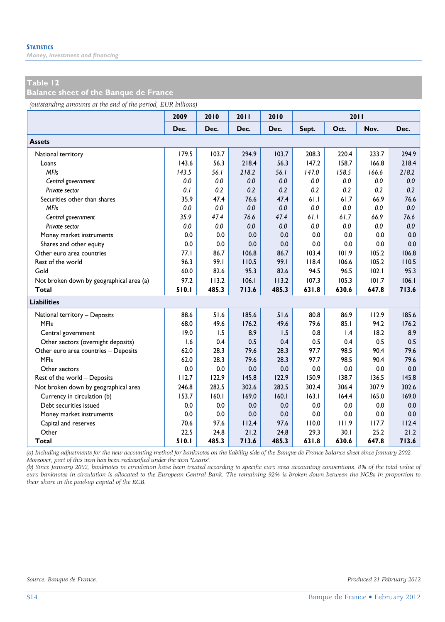*Money, investment and financing* 

#### **Table 12**

**Balance sheet of the Banque de France** 

*(outstanding amounts at the end of the period, EUR billions)*

|                                          | 2009  | 2010  | 2011  | 2010  |       | 2011            |       |       |
|------------------------------------------|-------|-------|-------|-------|-------|-----------------|-------|-------|
|                                          | Dec.  | Dec.  | Dec.  | Dec.  | Sept. | Oct.            | Nov.  | Dec.  |
| <b>Assets</b>                            |       |       |       |       |       |                 |       |       |
| National territory                       | 179.5 | 103.7 | 294.9 | 103.7 | 208.3 | 220.4           | 233.7 | 294.9 |
| Loans                                    | 143.6 | 56.3  | 218.4 | 56.3  | 147.2 | 158.7           | 166.8 | 218.4 |
| <b>MFIs</b>                              | 143.5 | 56.1  | 218.2 | 56.1  | 147.0 | 158.5           | 166.6 | 218.2 |
| Central government                       | 0.0   | 0.0   | 0.0   | 0.0   | 0.0   | 0.0             | 0.0   | 0.0   |
| Private sector                           | 0.1   | 0.2   | 0.2   | 0.2   | 0.2   | 0.2             | 0.2   | 0.2   |
| Securities other than shares             | 35.9  | 47.4  | 76.6  | 47.4  | 61.1  | 61.7            | 66.9  | 76.6  |
| <b>MFIs</b>                              | 0.0   | 0.0   | 0.0   | 0.0   | 0.0   | 0.0             | 0.0   | 0.0   |
| Central government                       | 35.9  | 47.4  | 76.6  | 47.4  | 61.1  | 61.7            | 66.9  | 76.6  |
| Private sector                           | 0.0   | 0.0   | 0.0   | 0.0   | 0.0   | 0.0             | 0.0   | 0.0   |
| Money market instruments                 | 0.0   | 0.0   | 0.0   | 0.0   | 0.0   | 0.0             | 0.0   | 0.0   |
| Shares and other equity                  | 0.0   | 0.0   | 0.0   | 0.0   | 0.0   | 0.0             | 0.0   | 0.0   |
| Other euro area countries                | 77.1  | 86.7  | 106.8 | 86.7  | 103.4 | 101.9           | 105.2 | 106.8 |
| Rest of the world                        | 96.3  | 99.I  | 110.5 | 99.I  | 118.4 | 106.6           | 105.2 | 110.5 |
| Gold                                     | 60.0  | 82.6  | 95.3  | 82.6  | 94.5  | 96.5            | 102.1 | 95.3  |
| Not broken down by geographical area (a) | 97.2  | 113.2 | 106.1 | 113.2 | 107.3 | 105.3           | 101.7 | 106.1 |
| <b>Total</b>                             | 510.1 | 485.3 | 713.6 | 485.3 | 631.8 | 630.6           | 647.8 | 713.6 |
| <b>Liabilities</b>                       |       |       |       |       |       |                 |       |       |
| National territory - Deposits            | 88.6  | 51.6  | 185.6 | 51.6  | 80.8  | 86.9            | 112.9 | 185.6 |
| <b>MFIs</b>                              | 68.0  | 49.6  | 176.2 | 49.6  | 79.6  | 85.1            | 94.2  | 176.2 |
| Central government                       | 19.0  | 1.5   | 8.9   | 1.5   | 0.8   | $\mathsf{I}$ .4 | 18.2  | 8.9   |
| Other sectors (overnight deposits)       | 1.6   | 0.4   | 0.5   | 0.4   | 0.5   | 0.4             | 0.5   | 0.5   |
| Other euro area countries - Deposits     | 62.0  | 28.3  | 79.6  | 28.3  | 97.7  | 98.5            | 90.4  | 79.6  |
| <b>MFIs</b>                              | 62.0  | 28.3  | 79.6  | 28.3  | 97.7  | 98.5            | 90.4  | 79.6  |
| Other sectors                            | 0.0   | 0.0   | 0.0   | 0.0   | 0.0   | 0.0             | 0.0   | 0.0   |
| Rest of the world - Deposits             | 112.7 | 122.9 | 145.8 | 122.9 | 150.9 | 138.7           | 136.5 | 145.8 |
| Not broken down by geographical area     | 246.8 | 282.5 | 302.6 | 282.5 | 302.4 | 306.4           | 307.9 | 302.6 |
| Currency in circulation (b)              | 153.7 | 160.1 | 169.0 | 160.1 | 163.1 | 164.4           | 165.0 | 169.0 |
| Debt securities issued                   | 0.0   | 0.0   | 0.0   | 0.0   | 0.0   | 0.0             | 0.0   | 0.0   |
| Money market instruments                 | 0.0   | 0.0   | 0.0   | 0.0   | 0.0   | 0.0             | 0.0   | 0.0   |
| Capital and reserves                     | 70.6  | 97.6  | 112.4 | 97.6  | 110.0 | 111.9           | 117.7 | 112.4 |
| Other                                    | 22.5  | 24.8  | 21.2  | 24.8  | 29.3  | 30.1            | 25.2  | 21.2  |
| Total                                    | 510.1 | 485.3 | 713.6 | 485.3 | 631.8 | 630.6           | 647.8 | 713.6 |

*(a) Including adjustments for the new accounting method for banknotes on the liability side of the Banque de France balance sheet since January 2002. Moreover, part of this item has been reclassified under the item "Loans".* 

*(b) Since January 2002, banknotes in circulation have been treated according to specific euro area accounting conventions. 8% of the total value of euro banknotes in circulation is allocated to the European Central Bank. The remaining 92% is broken down between the NCBs in proportion to their share in the paid-up capital of the ECB.*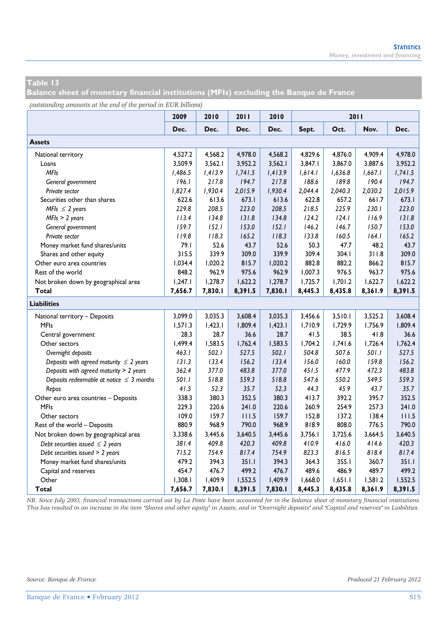**Balance sheet of monetary financial institutions (MFIs) excluding the Banque de France** 

*(outstanding amounts at the end of the period in EUR billions)*

|                                               | 2009    | 2010    | 2011    | 2010    |         | 2011    |         |         |
|-----------------------------------------------|---------|---------|---------|---------|---------|---------|---------|---------|
|                                               | Dec.    | Dec.    | Dec.    | Dec.    | Sept.   | Oct.    | Nov.    | Dec.    |
| <b>Assets</b>                                 |         |         |         |         |         |         |         |         |
| National territory                            | 4,527.2 | 4,568.2 | 4,978.0 | 4,568.2 | 4.829.6 | 4,876.0 | 4,909.4 | 4,978.0 |
| Loans                                         | 3.509.9 | 3,562.1 | 3,952.2 | 3,562.1 | 3.847.1 | 3.867.0 | 3.887.6 | 3,952.2 |
| <b>MFIs</b>                                   | 1,486.5 | 1,413.9 | 1,741.5 | 1,413.9 | 1,614.1 | 1,636.8 | 1,667.1 | 1,741.5 |
| General government                            | 196.1   | 217.8   | 194.7   | 217.8   | 188.6   | 189.8   | 190.4   | 194.7   |
| Private sector                                | 1,827.4 | 1,930.4 | 2,015.9 | 1,930.4 | 2,044.4 | 2,040.3 | 2,030.2 | 2,015.9 |
| Securities other than shares                  | 622.6   | 613.6   | 673.1   | 613.6   | 622.8   | 657.2   | 661.7   | 673.1   |
| MFIs $\leq$ 2 years                           | 229.8   | 208.5   | 223.0   | 208.5   | 218.5   | 225.9   | 230.1   | 223.0   |
| $MFIs > 2$ years                              | 113.4   | 134.8   | 131.8   | 134.8   | 124.2   | 124.1   | 116.9   | 131.8   |
| General government                            | 159.7   | 152.1   | 153.0   | 152.1   | 146.2   | 146.7   | 150.7   | 153.0   |
| Private sector                                | 119.8   | 118.3   | 165.2   | 118.3   | 133.8   | 160.5   | 164.1   | 165.2   |
| Money market fund shares/units                | 79.1    | 52.6    | 43.7    | 52.6    | 50.3    | 47.7    | 48.2    | 43.7    |
| Shares and other equity                       | 315.5   | 339.9   | 309.0   | 339.9   | 309.4   | 304.1   | 311.8   | 309.0   |
| Other euro area countries                     | 1,034.4 | 1,020.2 | 815.7   | 1,020.2 | 882.8   | 882.2   | 866.2   | 815.7   |
| Rest of the world                             | 848.2   | 962.9   | 975.6   | 962.9   | 1,007.3 | 976.5   | 963.7   | 975.6   |
| Not broken down by geographical area          | 1,247.1 | 1,278.7 | 1,622.2 | 1,278.7 | 1,725.7 | 1,701.2 | 1,622.7 | 1,622.2 |
| Total                                         | 7,656.7 | 7,830.1 | 8,391.5 | 7,830.1 | 8,445.3 | 8,435.8 | 8,361.9 | 8,391.5 |
| <b>Liabilities</b>                            |         |         |         |         |         |         |         |         |
| National territory - Deposits                 | 3,099.0 | 3,035.3 | 3,608.4 | 3,035.3 | 3,456.6 | 3,510.1 | 3,525.2 | 3,608.4 |
| <b>MFIs</b>                                   | 1,571.3 | 1,423.1 | 1,809.4 | 1,423.1 | 1,710.9 | 1,729.9 | 1,756.9 | 1,809.4 |
| Central government                            | 28.3    | 28.7    | 36.6    | 28.7    | 41.5    | 38.5    | 41.8    | 36.6    |
| Other sectors                                 | 1,499.4 | 1,583.5 | 1,762.4 | 1,583.5 | 1,704.2 | 1,741.6 | 1,726.4 | 1.762.4 |
| Overnight deposits                            | 463.1   | 502.1   | 527.5   | 502.1   | 504.8   | 507.6   | 501.1   | 527.5   |
| Deposits with agreed maturity $\leq 2$ years  | 131.3   | 133.4   | 156.2   | 133.4   | 156.0   | 160.0   | 159.8   | 156.2   |
| Deposits with agreed maturity > 2 years       | 362.4   | 377.0   | 483.8   | 377.0   | 451.5   | 477.9   | 472.3   | 483.8   |
| Deposits redeemable at notice $\leq$ 3 months | 501.1   | 518.8   | 559.3   | 518.8   | 547.6   | 550.2   | 549.5   | 559.3   |
| Repos                                         | 41.5    | 52.3    | 35.7    | 52.3    | 44.3    | 45.9    | 43.7    | 35.7    |
| Other euro area countries - Deposits          | 338.3   | 380.3   | 352.5   | 380.3   | 413.7   | 392.2   | 395.7   | 352.5   |
| <b>MFIs</b>                                   | 229.3   | 220.6   | 241.0   | 220.6   | 260.9   | 254.9   | 257.3   | 241.0   |
| Other sectors                                 | 109.0   | 159.7   | 111.5   | 159.7   | 152.8   | 137.2   | 138.4   | 111.5   |
| Rest of the world - Deposits                  | 880.9   | 968.9   | 790.0   | 968.9   | 818.9   | 808.0   | 776.5   | 790.0   |
| Not broken down by geographical area          | 3,338.6 | 3,445.6 | 3,640.5 | 3,445.6 | 3,756.1 | 3,725.6 | 3,664.5 | 3,640.5 |
| Debt securities issued $\leq 2$ years         | 381.4   | 409.8   | 420.3   | 409.8   | 410.9   | 416.0   | 414.6   | 420.3   |
| Debt securities issued > 2 years              | 715.2   | 754.9   | 817.4   | 754.9   | 823.3   | 816.5   | 818.4   | 817.4   |
| Money market fund shares/units                | 479.2   | 394.3   | 351.1   | 394.3   | 364.3   | 355.1   | 360.7   | 351.1   |
| Capital and reserves                          | 454.7   | 476.7   | 499.2   | 476.7   | 489.6   | 486.9   | 489.7   | 499.2   |
| Other                                         | 1,308.1 | 1,409.9 | 1,552.5 | 1,409.9 | 1,668.0 | 1,651.1 | 1,581.2 | 1,552.5 |
| Total                                         | 7,656.7 | 7,830.1 | 8,391.5 | 7,830.1 | 8,445.3 | 8,435.8 | 8,361.9 | 8,391.5 |

*NB: Since July 2003, financial transactions carried out by La Poste have been accounted for in the balance sheet of monetary financial institutions. This has resulted in an increase in the item "Shares and other equity" in Assets, and in "Overnight deposits" and "Capital and reserves" in Liabilities.*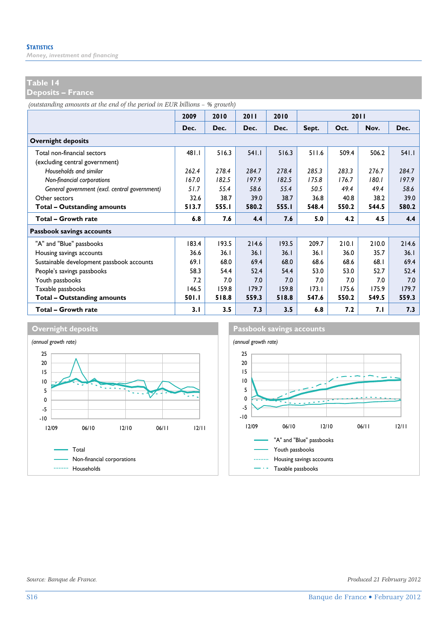*Money, investment and financing* 

#### **Table 14**

**Deposits – France** 

*(outstanding amounts at the end of the period in EUR billions – % growth)*

|                                               | 2009  | 2010  | 2011     | 2010  |       |       | 2011  |        |
|-----------------------------------------------|-------|-------|----------|-------|-------|-------|-------|--------|
|                                               | Dec.  | Dec.  | Dec.     | Dec.  | Sept. | Oct.  | Nov.  | Dec.   |
| <b>Overnight deposits</b>                     |       |       |          |       |       |       |       |        |
| Total non-financial sectors                   | 481.I | 516.3 | $54$ l.l | 516.3 | 511.6 | 509.4 | 506.2 | $54$ . |
| (excluding central government)                |       |       |          |       |       |       |       |        |
| Households and similar                        | 262.4 | 278.4 | 284.7    | 278.4 | 285.3 | 283.3 | 276.7 | 284.7  |
| Non-financial corporations                    | 167.0 | 182.5 | 197.9    | 182.5 | 175.8 | 176.7 | 180.1 | 197.9  |
| General government (excl. central government) | 51.7  | 55.4  | 58.6     | 55.4  | 50.5  | 49.4  | 49.4  | 58.6   |
| Other sectors                                 | 32.6  | 38.7  | 39.0     | 38.7  | 36.8  | 40.8  | 38.2  | 39.0   |
| <b>Total - Outstanding amounts</b>            | 513.7 | 555.I | 580.2    | 555.1 | 548.4 | 550.2 | 544.5 | 580.2  |
| Total - Growth rate                           | 6.8   | 7.6   | 4.4      | 7.6   | 5.0   | 4.2   | 4.5   | 4.4    |
| Passbook savings accounts                     |       |       |          |       |       |       |       |        |
| "A" and "Blue" passbooks                      | 183.4 | 193.5 | 214.6    | 193.5 | 209.7 | 210.1 | 210.0 | 214.6  |
| Housing savings accounts                      | 36.6  | 36.1  | 36.1     | 36.1  | 36.1  | 36.0  | 35.7  | 36.1   |
| Sustainable development passbook accounts     | 69.1  | 68.0  | 69.4     | 68.0  | 68.6  | 68.6  | 68.1  | 69.4   |
| People's savings passbooks                    | 58.3  | 54.4  | 52.4     | 54.4  | 53.0  | 53.0  | 52.7  | 52.4   |
| Youth passbooks                               | 7.2   | 7.0   | 7.0      | 7.0   | 7.0   | 7.0   | 7.0   | 7.0    |
| Taxable passbooks                             | 146.5 | 159.8 | 179.7    | 159.8 | 173.1 | 175.6 | 175.9 | 179.7  |
| <b>Total - Outstanding amounts</b>            | 501.I | 518.8 | 559.3    | 518.8 | 547.6 | 550.2 | 549.5 | 559.3  |
| Total - Growth rate                           | 3.1   | 3.5   | 7.3      | 3.5   | 6.8   | 7.2   | 7. I  | 7.3    |



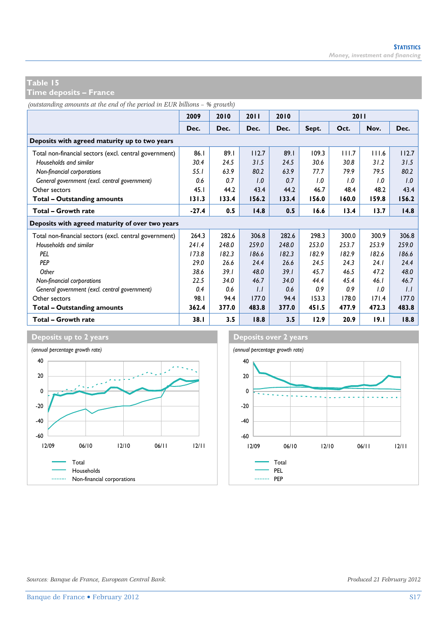**Time deposits – France** 

*(outstanding amounts at the end of the period in EUR billions – % growth)*

|                                                        | 2009    | 2010  | 2011  | 2010  |       | <b>2011</b> |       |       |
|--------------------------------------------------------|---------|-------|-------|-------|-------|-------------|-------|-------|
|                                                        | Dec.    | Dec.  | Dec.  | Dec.  | Sept. | Oct.        | Nov.  | Dec.  |
| Deposits with agreed maturity up to two years          |         |       |       |       |       |             |       |       |
| Total non-financial sectors (excl. central government) | 86.1    | 89.1  | 112.7 | 89.1  | 109.3 | 111.7       | 111.6 | 112.7 |
| Households and similar                                 | 30.4    | 24.5  | 31.5  | 24.5  | 30.6  | 30.8        | 31.2  | 31.5  |
| Non-financial corporations                             | 55.1    | 63.9  | 80.2  | 63.9  | 77.7  | 79.9        | 79.5  | 80.2  |
| General government (excl. central government)          | 0.6     | 0.7   | 1.0   | 0.7   | 1.0   | 1.0         | 1.0   | 1.0   |
| Other sectors                                          | 45.1    | 44.2  | 43.4  | 44.2  | 46.7  | 48.4        | 48.2  | 43.4  |
| Total - Outstanding amounts                            | 131.3   | 133.4 | 156.2 | 133.4 | 156.0 | 160.0       | 159.8 | 156.2 |
| Total - Growth rate                                    | $-27.4$ | 0.5   | 14.8  | 0.5   | 16.6  | 13.4        | 13.7  | 14.8  |
| Deposits with agreed maturity of over two years        |         |       |       |       |       |             |       |       |
| Total non-financial sectors (excl. central government) | 264.3   | 282.6 | 306.8 | 282.6 | 298.3 | 300.0       | 300.9 | 306.8 |
| Households and similar                                 | 241.4   | 248.0 | 259.0 | 248.0 | 253.0 | 253.7       | 253.9 | 259.0 |
| PEL                                                    | 173.8   | 182.3 | 186.6 | 182.3 | 182.9 | 182.9       | 182.6 | 186.6 |
| <b>PFP</b>                                             | 29.0    | 26.6  | 24.4  | 26.6  | 24.5  | 24.3        | 24.1  | 24.4  |
| Other                                                  | 38.6    | 39.1  | 48.0  | 39.1  | 45.7  | 46.5        | 47.2  | 48.0  |
| Non-financial corporations                             | 22.5    | 34.0  | 46.7  | 34.0  | 44.4  | 45.4        | 46.1  | 46.7  |
| General government (excl. central government)          | 0.4     | 0.6   | 1.1   | 0.6   | 0.9   | 0.9         | 1.0   | 1.1   |
| Other sectors                                          | 98.I    | 94.4  | 177.0 | 94.4  | 153.3 | 178.0       | 171.4 | 177.0 |
| Total - Outstanding amounts                            | 362.4   | 377.0 | 483.8 | 377.0 | 451.5 | 477.9       | 472.3 | 483.8 |
| Total - Growth rate                                    | 38.1    | 3.5   | 18.8  | 3.5   | 12.9  | 20.9        | 19.1  | 18.8  |



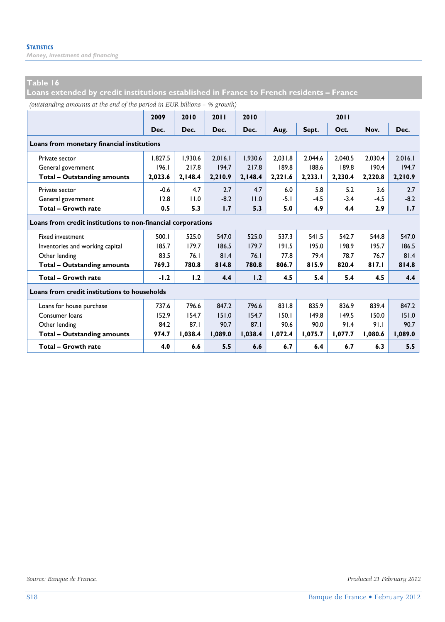*Money, investment and financing* 

#### **Table 16**

**Loans extended by credit institutions established in France to French residents – France** 

*(outstanding amounts at the end of the period in EUR billions – % growth)*

|                                                              | 2009    | 2010    | 2011    | 2010    |         |         | 2011    |         |         |
|--------------------------------------------------------------|---------|---------|---------|---------|---------|---------|---------|---------|---------|
|                                                              | Dec.    | Dec.    | Dec.    | Dec.    | Aug.    | Sept.   | Oct.    | Nov.    | Dec.    |
| Loans from monetary financial institutions                   |         |         |         |         |         |         |         |         |         |
| Private sector                                               | 1.827.5 | 1,930.6 | 2.016.1 | 1,930.6 | 2.031.8 | 2.044.6 | 2.040.5 | 2,030.4 | 2,016.1 |
| General government                                           | 196.1   | 217.8   | 194.7   | 217.8   | 189.8   | 188.6   | 189.8   | 190.4   | 194.7   |
| <b>Total - Outstanding amounts</b>                           | 2,023.6 | 2,148.4 | 2,210.9 | 2,148.4 | 2,221.6 | 2,233.1 | 2,230.4 | 2,220.8 | 2,210.9 |
| Private sector                                               | $-0.6$  | 4.7     | 2.7     | 4.7     | 6.0     | 5.8     | 5.2     | 3.6     | 2.7     |
| General government                                           | 12.8    | 11.0    | $-8.2$  | 11.0    | $-5.1$  | $-4.5$  | $-3.4$  | $-4.5$  | $-8.2$  |
| <b>Total - Growth rate</b>                                   | 0.5     | 5.3     | 1.7     | 5.3     | 5.0     | 4.9     | 4.4     | 2.9     | 1.7     |
| Loans from credit institutions to non-financial corporations |         |         |         |         |         |         |         |         |         |
| <b>Fixed investment</b>                                      | 500.1   | 525.0   | 547.0   | 525.0   | 537.3   | 541.5   | 542.7   | 544.8   | 547.0   |
| Inventories and working capital                              | 185.7   | 179.7   | 186.5   | 179.7   | 191.5   | 195.0   | 198.9   | 195.7   | 186.5   |
| Other lending                                                | 83.5    | 76.1    | 81.4    | 76.1    | 77.8    | 79.4    | 78.7    | 76.7    | 81.4    |
| <b>Total - Outstanding amounts</b>                           | 769.3   | 780.8   | 814.8   | 780.8   | 806.7   | 815.9   | 820.4   | 817.1   | 814.8   |
| Total - Growth rate                                          | $-1.2$  | 1.2     | 4.4     | 1.2     | 4.5     | 5.4     | 5.4     | 4.5     | 4.4     |
| Loans from credit institutions to households                 |         |         |         |         |         |         |         |         |         |
| Loans for house purchase                                     | 737.6   | 796.6   | 847.2   | 796.6   | 831.8   | 835.9   | 836.9   | 839.4   | 847.2   |
| Consumer loans                                               | 152.9   | 154.7   | 151.0   | 154.7   | 150.1   | 149.8   | 149.5   | 150.0   | 151.0   |
| Other lending                                                | 84.2    | 87.1    | 90.7    | 87.1    | 90.6    | 90.0    | 91.4    | 91.1    | 90.7    |
| <b>Total - Outstanding amounts</b>                           | 974.7   | 1,038.4 | 1,089.0 | 1,038.4 | 1,072.4 | 1,075.7 | 1,077.7 | 1,080.6 | 1,089.0 |
| Total - Growth rate                                          | 4.0     | 6.6     | 5.5     | 6.6     | 6.7     | 6.4     | 6.7     | 6.3     | 5.5     |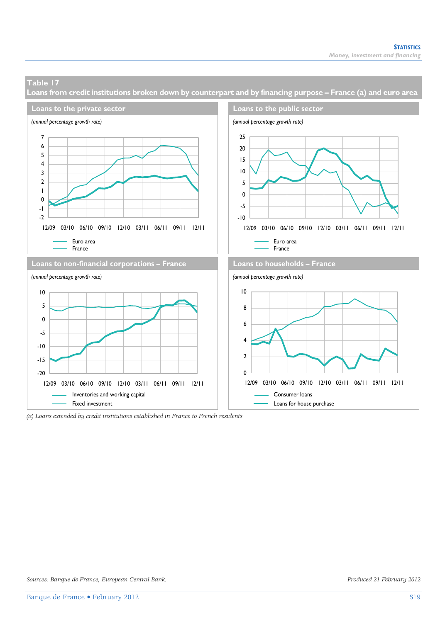**Loans from credit institutions broken down by counterpart and by financing purpose – France (a) and euro area** 



*<sup>(</sup>a) Loans extended by credit institutions established in France to French residents.*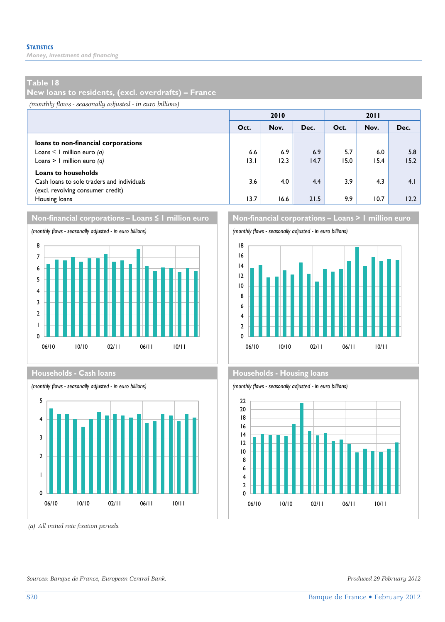*Money, investment and financing* 

#### **Table 18**

**New loans to residents, (excl. overdrafts) – France** 

*(monthly flows - seasonally adjusted - in euro billions)*

| 2010 |      |      | 2011 |      |      |  |
|------|------|------|------|------|------|--|
| Oct. | Nov. | Dec. | Oct. | Nov. | Dec. |  |
|      |      |      |      |      |      |  |
| 6.6  | 6.9  | 6.9  | 5.7  | 6.0  | 5.8  |  |
| 13.1 | 12.3 | 14.7 | 15.0 | 15.4 | 15.2 |  |
|      |      |      |      |      |      |  |
| 3.6  | 4.0  | 4.4  | 3.9  | 4.3  | 4.1  |  |
|      |      |      |      |      |      |  |
| 13.7 | 16.6 | 21.5 | 9.9  | 10.7 | 12.2 |  |
|      |      |      |      |      |      |  |







 *(a) All initial rate fixation periods.* 

**Non-financial corporations – Loans ≤ 1 million euro Non-financial corporations – Loans > 1 million euro** 





#### **Households - Cash loans Households - Households - Housing loans**

*(monthly flows - seasonally adjusted - in euro billions) (monthly flows - seasonally adjusted - in euro billions)*



*Sources: Banque de France, European Central Bank. Produced 29 February 2012*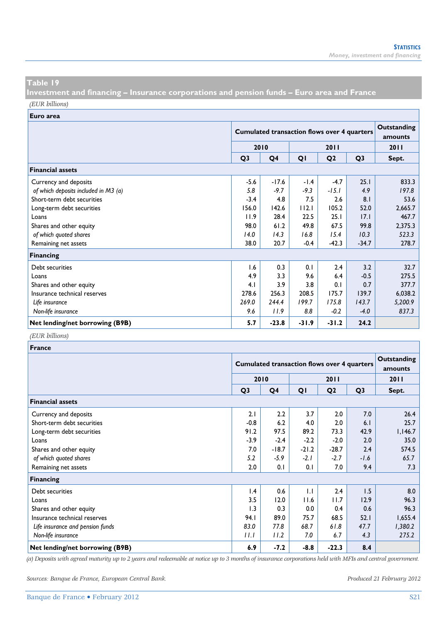**Investment and financing – Insurance corporations and pension funds – Euro area and France**  *(EUR billions)*

**Euro area**

|                                      |                | <b>Cumulated transaction flows over 4 quarters</b> |         | Outstanding<br>amounts |                |         |
|--------------------------------------|----------------|----------------------------------------------------|---------|------------------------|----------------|---------|
|                                      | 2010<br>2011   |                                                    |         |                        |                | 2011    |
|                                      | Q <sub>3</sub> | Q <sub>4</sub>                                     | QI      | Q <sub>2</sub>         | Q <sub>3</sub> | Sept.   |
| <b>Financial assets</b>              |                |                                                    |         |                        |                |         |
| Currency and deposits                | $-5.6$         | $-17.6$                                            | $-1.4$  | $-4.7$                 | 25.1           | 833.3   |
| of which deposits included in M3 (a) | 5.8            | $-9.7$                                             | $-9.3$  | $-15.1$                | 4.9            | 197.8   |
| Short-term debt securities           | $-3.4$         | 4.8                                                | 7.5     | 2.6                    | 8.1            | 53.6    |
| Long-term debt securities            | 156.0          | 142.6                                              | 112.1   | 105.2                  | 52.0           | 2,665.7 |
| Loans                                | 11.9           | 28.4                                               | 22.5    | 25.1                   | 17.1           | 467.7   |
| Shares and other equity              | 98.0           | 61.2                                               | 49.8    | 67.5                   | 99.8           | 2,375.3 |
| of which quoted shares               | 14.0           | 14.3                                               | 16.8    | 15.4                   | 10.3           | 523.3   |
| Remaining net assets                 | 38.0           | 20.7                                               | $-0.4$  | $-42.3$                | $-34.7$        | 278.7   |
| <b>Financing</b>                     |                |                                                    |         |                        |                |         |
| Debt securities                      | 1.6            | 0.3                                                | 0.1     | 2.4                    | 3.2            | 32.7    |
| Loans                                | 4.9            | 3.3                                                | 9.6     | 6.4                    | $-0.5$         | 275.5   |
| Shares and other equity              | 4.1            | 3.9                                                | 3.8     | 0.1                    | 0.7            | 377.7   |
| Insurance technical reserves         | 278.6          | 256.3                                              | 208.5   | 175.7                  | 139.7          | 6,038.2 |
| Life insurance                       | 269.0          | 244.4                                              | 199.7   | 175.8                  | 143.7          | 5,200.9 |
| Non-life insurance                   | 9.6            | 11.9                                               | 8.8     | $-0.2$                 | $-4.0$         | 837.3   |
| Net lending/net borrowing (B9B)      | 5.7            | $-23.8$                                            | $-31.9$ | $-31.2$                | 24.2           |         |

#### *(EUR billions)*

| France                           |                |                                                    |              |                |                |         |  |  |
|----------------------------------|----------------|----------------------------------------------------|--------------|----------------|----------------|---------|--|--|
|                                  |                | <b>Cumulated transaction flows over 4 quarters</b> |              |                |                |         |  |  |
|                                  |                | 2010                                               |              | <b>2011</b>    |                | 2011    |  |  |
|                                  | Q <sub>3</sub> | Q4                                                 | QI           | Q <sub>2</sub> | Q <sub>3</sub> | Sept.   |  |  |
| <b>Financial assets</b>          |                |                                                    |              |                |                |         |  |  |
| Currency and deposits            | 2.1            | 2.2                                                | 3.7          | 2.0            | 7.0            | 26.4    |  |  |
| Short-term debt securities       | $-0.8$         | 6.2                                                | 4.0          | 2.0            | 6.1            | 25.7    |  |  |
| Long-term debt securities        | 91.2           | 97.5                                               | 89.2         | 73.3           | 42.9           | 1,146.7 |  |  |
| Loans                            | $-3.9$         | $-2.4$                                             | $-2.2$       | $-2.0$         | 2.0            | 35.0    |  |  |
| Shares and other equity          | 7.0            | $-18.7$                                            | $-21.2$      | $-28.7$        | 2.4            | 574.5   |  |  |
| of which quoted shares           | 5.2            | $-5.9$                                             | $-2.1$       | $-2.7$         | $-1.6$         | 65.7    |  |  |
| Remaining net assets             | 2.0            | 0.1                                                | 0.1          | 7.0            | 9.4            | 7.3     |  |  |
| <b>Financing</b>                 |                |                                                    |              |                |                |         |  |  |
| Debt securities                  | 1.4            | 0.6                                                | $\mathsf{L}$ | 2.4            | 1.5            | 8.0     |  |  |
| Loans                            | 3.5            | 12.0                                               | 11.6         | 11.7           | 12.9           | 96.3    |  |  |
| Shares and other equity          | 1.3            | 0.3                                                | 0.0          | 0.4            | 0.6            | 96.3    |  |  |
| Insurance technical reserves     | 94.I           | 89.0                                               | 75.7         | 68.5           | 52.1           | 1,655.4 |  |  |
| Life insurance and pension funds | 83.0           | 77.8                                               | 68.7         | 61.8           | 47.7           | 1,380.2 |  |  |
| Non-life insurance               | 11.1           | 11.2                                               | 7.0          | 6.7            | 4.3            | 275.2   |  |  |
| Net lending/net borrowing (B9B)  | 6.9            | $-7.2$                                             | $-8.8$       | $-22.3$        | 8.4            |         |  |  |

*(a) Deposits with agreed maturity up to 2 years and redeemable at notice up to 3 months of insurance corporations held with MFIs and central government.* 

*Sources: Banque de France, European Central Bank. Produced 21 February 2012*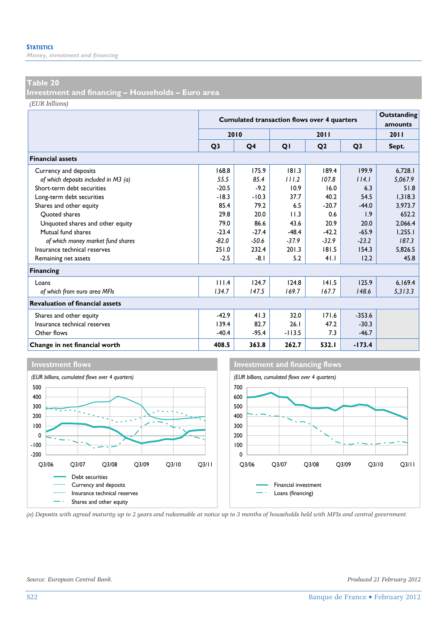*Money, investment and financing* 

#### **Table 20**

**Investment and financing – Households – Euro area** 

*(EUR billions)*

|                                        |                | <b>Cumulated transaction flows over 4 quarters</b> | Outstanding<br>amounts |                |                |         |
|----------------------------------------|----------------|----------------------------------------------------|------------------------|----------------|----------------|---------|
|                                        | 2010           |                                                    |                        | 2011           |                | 2011    |
|                                        | Q <sub>3</sub> | Q4                                                 | QI                     | Q <sub>2</sub> | Q <sub>3</sub> | Sept.   |
| <b>Financial assets</b>                |                |                                                    |                        |                |                |         |
| Currency and deposits                  | 168.8          | 175.9                                              | 181.3                  | 189.4          | 199.9          | 6,728.1 |
| of which deposits included in M3 (a)   | 55.5           | 85.4                                               | 111.2                  | 107.8          | 114.1          | 5,067.9 |
| Short-term debt securities             | $-20.5$        | $-9.2$                                             | 10.9                   | 16.0           | 6.3            | 51.8    |
| Long-term debt securities              | $-18.3$        | $-10.3$                                            | 37.7                   | 40.2           | 54.5           | 1.318.3 |
| Shares and other equity                | 85.4           | 79.2                                               | 6.5                    | $-20.7$        | $-44.0$        | 3,973.7 |
| Ouoted shares                          | 29.8           | 20.0                                               | 11.3                   | 0.6            | 1.9            | 652.2   |
| Unquoted shares and other equity       | 79.0           | 86.6                                               | 43.6                   | 20.9           | 20.0           | 2.066.4 |
| Mutual fund shares                     | $-23.4$        | $-27.4$                                            | $-48.4$                | $-42.2$        | $-65.9$        | 1,255.1 |
| of which money market fund shares      | $-82.0$        | $-50.6$                                            | $-37.9$                | $-32.9$        | $-23.2$        | 187.3   |
| Insurance technical reserves           | 251.0          | 232.4                                              | 201.3                  | 181.5          | 154.3          | 5,826.5 |
| Remaining net assets                   | $-2.5$         | $-8.1$                                             | 5.2                    | 41.1           | 12.2           | 45.8    |
| <b>Financing</b>                       |                |                                                    |                        |                |                |         |
| Loans                                  | 111.4          | 124.7                                              | 124.8                  | 141.5          | 125.9          | 6,169.4 |
| of which from euro area MFIs           | 134.7          | 147.5                                              | 169.7                  | 167.7          | 148.6          | 5,313.3 |
| <b>Revaluation of financial assets</b> |                |                                                    |                        |                |                |         |
| Shares and other equity                | $-42.9$        | 41.3                                               | 32.0                   | 171.6          | $-353.6$       |         |
| Insurance technical reserves           | 139.4          | 82.7                                               | 26.1                   | 47.2           | $-30.3$        |         |
| Other flows                            | $-40.4$        | $-95.4$                                            | $-113.5$               | 7.3            | $-46.7$        |         |
| Change in net financial worth          | 408.5          | 363.8                                              | 262.7                  | 532.1          | $-173.4$       |         |







*(a) Deposits with agreed maturity up to 2 years and redeemable at notice up to 3 months of households held with MFIs and central government.*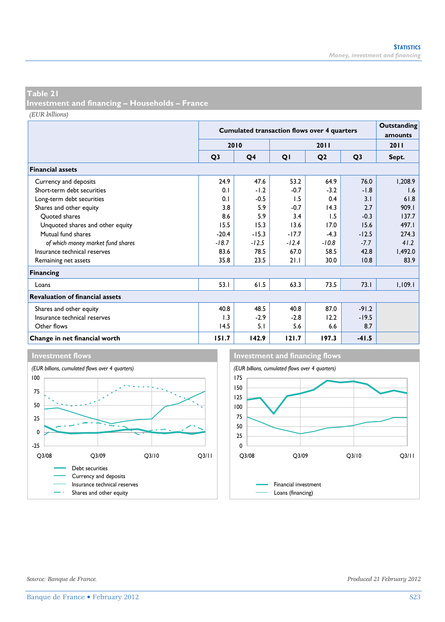**Investment and financing – Households – France** 

*(EUR billions)*

|                                        |                | <b>Cumulated transaction flows over 4 quarters</b> | Outstanding<br>amounts |                |                |         |
|----------------------------------------|----------------|----------------------------------------------------|------------------------|----------------|----------------|---------|
|                                        |                | 2010                                               |                        | 2011           |                | 2011    |
|                                        | Q <sub>3</sub> | Q <sub>4</sub>                                     | QI                     | Q <sub>2</sub> | Q <sub>3</sub> | Sept.   |
| <b>Financial assets</b>                |                |                                                    |                        |                |                |         |
| Currency and deposits                  | 24.9           | 47.6                                               | 53.2                   | 64.9           | 76.0           | 1,208.9 |
| Short-term debt securities             | 0.1            | $-1.2$                                             | $-0.7$                 | $-3.2$         | $-1.8$         | 1.6     |
| Long-term debt securities              | 0.1            | $-0.5$                                             | 1.5                    | 0.4            | 3.1            | 61.8    |
| Shares and other equity                | 3.8            | 5.9                                                | $-0.7$                 | 14.3           | 2.7            | 909.1   |
| Ouoted shares                          | 8.6            | 5.9                                                | 3.4                    | 1.5            | $-0.3$         | 137.7   |
| Unquoted shares and other equity       | 15.5           | 15.3                                               | 13.6                   | 17.0           | 15.6           | 497.1   |
| Mutual fund shares                     | $-20.4$        | $-15.3$                                            | $-17.7$                | $-4.3$         | $-12.5$        | 274.3   |
| of which money market fund shares      | $-18.7$        | $-12.5$                                            | $-12.4$                | $-10.8$        | $-7.7$         | 41.2    |
| Insurance technical reserves           | 83.6           | 78.5                                               | 67.0                   | 58.5           | 42.8           | 1,492.0 |
| Remaining net assets                   | 35.8           | 23.5                                               | 21.1                   | 30.0           | 10.8           | 83.9    |
| <b>Financing</b>                       |                |                                                    |                        |                |                |         |
| Loans                                  | 53.1           | 61.5                                               | 63.3                   | 73.5           | 73.1           | 1,109.1 |
| <b>Revaluation of financial assets</b> |                |                                                    |                        |                |                |         |
| Shares and other equity                | 40.8           | 48.5                                               | 40.8                   | 87.0           | $-91.2$        |         |
| Insurance technical reserves           | 1.3            | $-2.9$                                             | $-2.8$                 | 12.2           | $-19.5$        |         |
| Other flows                            | 14.5           | 5.1                                                | 5.6                    | 6.6            | 8.7            |         |
| Change in net financial worth          | 151.7          | 142.9                                              | 121.7                  | 197.3          | $-41.5$        |         |





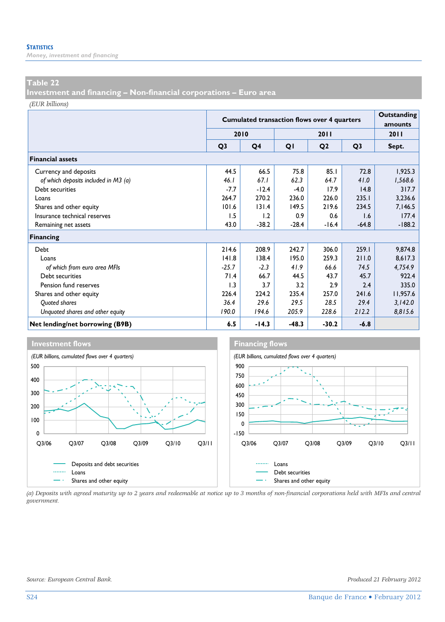*Money, investment and financing* 

#### **Table 22**

**Investment and financing – Non-financial corporations – Euro area** 

*(EUR billions)*

|                                      |                | <b>Cumulated transaction flows over 4 quarters</b> | Outstanding<br>amounts |                |                |          |
|--------------------------------------|----------------|----------------------------------------------------|------------------------|----------------|----------------|----------|
|                                      |                | 2010                                               |                        | 2011           |                | 2011     |
|                                      | Q <sub>3</sub> | Q <sub>4</sub>                                     | QI                     | Q <sub>2</sub> | Q <sub>3</sub> | Sept.    |
| <b>Financial assets</b>              |                |                                                    |                        |                |                |          |
| Currency and deposits                | 44.5           | 66.5                                               | 75.8                   | 85.1           | 72.8           | 1,925.3  |
| of which deposits included in M3 (a) | 46.1           | 67.1                                               | 62.3                   | 64.7           | 41.0           | 1,568.6  |
| Debt securities                      | $-7.7$         | $-12.4$                                            | $-4.0$                 | 17.9           | 14.8           | 317.7    |
| Loans                                | 264.7          | 270.2                                              | 236.0                  | 226.0          | 235.1          | 3,236.6  |
| Shares and other equity              | 101.6          | 131.4                                              | 149.5                  | 219.6          | 234.5          | 7,146.5  |
| Insurance technical reserves         | 1.5            | 1.2                                                | 0.9                    | 0.6            | 1.6            | 177.4    |
| Remaining net assets                 | 43.0           | $-38.2$                                            | $-28.4$                | $-16.4$        | $-64.8$        | $-188.2$ |
| <b>Financing</b>                     |                |                                                    |                        |                |                |          |
| Debt                                 | 214.6          | 208.9                                              | 242.7                  | 306.0          | 259.1          | 9,874.8  |
| Loans                                | 141.8          | 138.4                                              | 195.0                  | 259.3          | 211.0          | 8,617.3  |
| of which from euro area MFIs         | $-25.7$        | $-2.3$                                             | 41.9                   | 66.6           | 74.5           | 4,754.9  |
| Debt securities                      | 71.4           | 66.7                                               | 44.5                   | 43.7           | 45.7           | 922.4    |
| Pension fund reserves                | 1.3            | 3.7                                                | 3.2                    | 2.9            | 2.4            | 335.0    |
| Shares and other equity              | 226.4          | 224.2                                              | 235.4                  | 257.0          | 241.6          | 11,957.6 |
| Quoted shares                        | 36.4           | 29.6                                               | 29.5                   | 28.5           | 29.4           | 3,142.0  |
| Unquoted shares and other equity     | 190.0          | 194.6                                              | 205.9                  | 228.6          | 212.2          | 8,815.6  |
| Net lending/net borrowing (B9B)      | 6.5            | $-14.3$                                            | $-48.3$                | $-30.2$        | $-6.8$         |          |



*(a) Deposits with agreed maturity up to 2 years and redeemable at notice up to 3 months of non-financial corporations held with MFIs and central government.*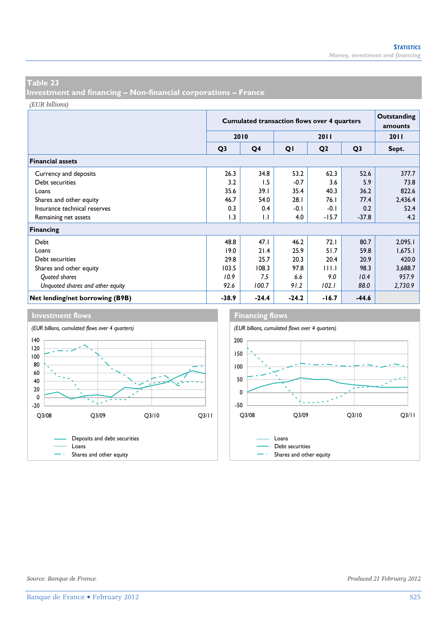**Investment and financing – Non-financial corporations – France** 

*(EUR billions)*

|                                  |                | <b>Cumulated transaction flows over 4 quarters</b> |         |                |                |         |  |  |  |
|----------------------------------|----------------|----------------------------------------------------|---------|----------------|----------------|---------|--|--|--|
|                                  | 2010           |                                                    |         | 2011           |                | 2011    |  |  |  |
|                                  | Q <sub>3</sub> | Q <sub>4</sub>                                     | QI      | Q <sub>2</sub> | Q <sub>3</sub> | Sept.   |  |  |  |
| <b>Financial assets</b>          |                |                                                    |         |                |                |         |  |  |  |
| Currency and deposits            | 26.3           | 34.8                                               | 53.2    | 62.3           | 52.6           | 377.7   |  |  |  |
| Debt securities                  | 3.2            | 1.5                                                | $-0.7$  | 3.6            | 5.9            | 73.8    |  |  |  |
| Loans                            | 35.6           | 39.1                                               | 35.4    | 40.3           | 36.2           | 822.6   |  |  |  |
| Shares and other equity          | 46.7           | 54.0                                               | 28.1    | 76.1           | 77.4           | 2,436.4 |  |  |  |
| Insurance technical reserves     | 0.3            | 0.4                                                | $-0.1$  | $-0.1$         | 0.2            | 52.4    |  |  |  |
| Remaining net assets             | 1.3            | 1.1                                                | 4.0     | $-15.7$        | $-37.8$        | 4.2     |  |  |  |
| <b>Financing</b>                 |                |                                                    |         |                |                |         |  |  |  |
| Debt                             | 48.8           | 47.1                                               | 46.2    | 72.1           | 80.7           | 2,095.1 |  |  |  |
| Loans                            | 19.0           | 21.4                                               | 25.9    | 51.7           | 59.8           | 1,675.1 |  |  |  |
| Debt securities                  | 29.8           | 25.7                                               | 20.3    | 20.4           | 20.9           | 420.0   |  |  |  |
| Shares and other equity          | 103.5          | 108.3                                              | 97.8    | 11 I.T         | 98.3           | 3,688.7 |  |  |  |
| Quoted shares                    | 10.9           | 7.5                                                | 6.6     | 9.0            | 10.4           | 957.9   |  |  |  |
| Unquoted shares and other equity | 92.6           | 100.7                                              | 91.2    | 102.1          | 88.0           | 2,730.9 |  |  |  |
| Net lending/net borrowing (B9B)  | $-38.9$        | $-24.4$                                            | $-24.2$ | $-16.7$        | $-44.6$        |         |  |  |  |





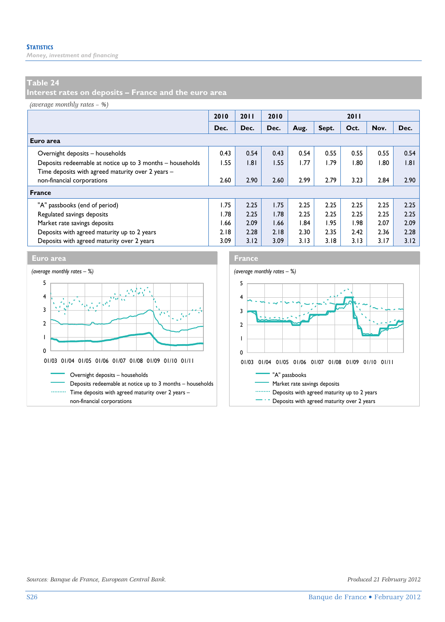*Money, investment and financing* 

#### **Table 24**

**Interest rates on deposits – France and the euro area** 

*(average monthly rates – %)*

|                                                           | 2010 | 2011 | 2010 |      |       | 2011 |      |      |
|-----------------------------------------------------------|------|------|------|------|-------|------|------|------|
|                                                           | Dec. | Dec. | Dec. | Aug. | Sept. | Oct. | Nov. | Dec. |
| Euro area                                                 |      |      |      |      |       |      |      |      |
| Overnight deposits - households                           | 0.43 | 0.54 | 0.43 | 0.54 | 0.55  | 0.55 | 0.55 | 0.54 |
| Deposits redeemable at notice up to 3 months - households | 1.55 | 1.81 | 1.55 | 1.77 | 1.79  | 1.80 | 1.80 | .8   |
| Time deposits with agreed maturity over 2 years -         |      |      |      |      |       |      |      |      |
| non-financial corporations                                | 2.60 | 2.90 | 2.60 | 2.99 | 2.79  | 3.23 | 2.84 | 2.90 |
| <b>France</b>                                             |      |      |      |      |       |      |      |      |
| "A" passbooks (end of period)                             | 1.75 | 2.25 | 1.75 | 2.25 | 2.25  | 2.25 | 2.25 | 2.25 |
| Regulated savings deposits                                | I.78 | 2.25 | 1.78 | 2.25 | 2.25  | 2.25 | 2.25 | 2.25 |
| Market rate savings deposits                              | 1.66 | 2.09 | 1.66 | 1.84 | 1.95  | 1.98 | 2.07 | 2.09 |
| Deposits with agreed maturity up to 2 years               | 2.18 | 2.28 | 2.18 | 2.30 | 2.35  | 2.42 | 2.36 | 2.28 |
| Deposits with agreed maturity over 2 years                | 3.09 | 3.12 | 3.09 | 3.13 | 3.18  | 3.13 | 3.17 | 3.12 |



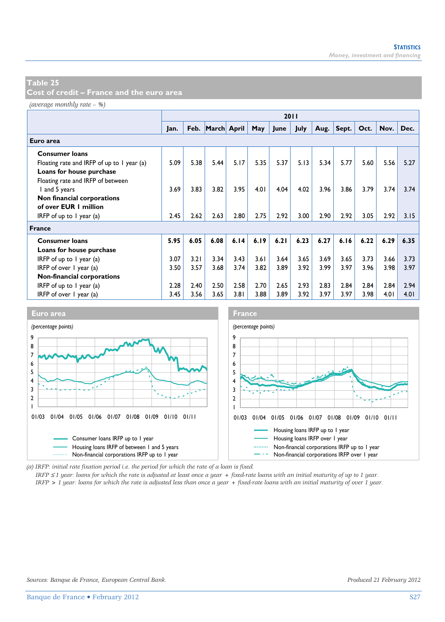**Cost of credit – France and the euro area** 

*(average monthly rate – %)*

|                                            |      |      |                  |      |      | 2011 |      |      |       |      |      |      |
|--------------------------------------------|------|------|------------------|------|------|------|------|------|-------|------|------|------|
|                                            | Jan. |      | Feb. March April |      | May  | June | July | Aug. | Sept. | Oct. | Nov. | Dec. |
| Euro area                                  |      |      |                  |      |      |      |      |      |       |      |      |      |
| <b>Consumer loans</b>                      |      |      |                  |      |      |      |      |      |       |      |      |      |
| Floating rate and IRFP of up to 1 year (a) | 5.09 | 5.38 | 5.44             | 5.17 | 5.35 | 5.37 | 5.13 | 5.34 | 5.77  | 5.60 | 5.56 | 5.27 |
| Loans for house purchase                   |      |      |                  |      |      |      |      |      |       |      |      |      |
| Floating rate and IRFP of between          |      |      |                  |      |      |      |      |      |       |      |      |      |
| I and 5 years                              | 3.69 | 3.83 | 3.82             | 3.95 | 4.01 | 4.04 | 4.02 | 3.96 | 3.86  | 3.79 | 3.74 | 3.74 |
| Non financial corporations                 |      |      |                  |      |      |      |      |      |       |      |      |      |
| of over EUR 1 million                      |      |      |                  |      |      |      |      |      |       |      |      |      |
| IRFP of up to $I$ year (a)                 | 2.45 | 2.62 | 2.63             | 2.80 | 2.75 | 2.92 | 3.00 | 2.90 | 2.92  | 3.05 | 2.92 | 3.15 |
| <b>France</b>                              |      |      |                  |      |      |      |      |      |       |      |      |      |
| <b>Consumer loans</b>                      | 5.95 | 6.05 | 6.08             | 6.14 | 6.19 | 6.21 | 6.23 | 6.27 | 6.16  | 6.22 | 6.29 | 6.35 |
| Loans for house purchase                   |      |      |                  |      |      |      |      |      |       |      |      |      |
| IRFP of up to $\vert$ year (a)             | 3.07 | 3.21 | 3.34             | 3.43 | 3.61 | 3.64 | 3.65 | 3.69 | 3.65  | 3.73 | 3.66 | 3.73 |
| IRFP of over 1 year (a)                    | 3.50 | 3.57 | 3.68             | 3.74 | 3.82 | 3.89 | 3.92 | 3.99 | 3.97  | 3.96 | 3.98 | 3.97 |
| Non-financial corporations                 |      |      |                  |      |      |      |      |      |       |      |      |      |
| IRFP of up to $\overline{I}$ year (a)      | 2.28 | 2.40 | 2.50             | 2.58 | 2.70 | 2.65 | 2.93 | 2.83 | 2.84  | 2.84 | 2.84 | 2.94 |
| IRFP of over 1 year (a)                    | 3.45 | 3.56 | 3.65             | 3.81 | 3.88 | 3.89 | 3.92 | 3.97 | 3.97  | 3.98 | 4.01 | 4.01 |



*(a) IRFP: initial rate fixation period i.e. the period for which the rate of a loan is fixed.* 

*IRFP* ≤ *1 year: loans for which the rate is adjusted at least once a year + fixed-rate loans with an initial maturity of up to 1 year.*

*IRFP > 1 year: loans for which the rate is adjusted less than once a year + fixed-rate loans with an initial maturity of over 1 year.*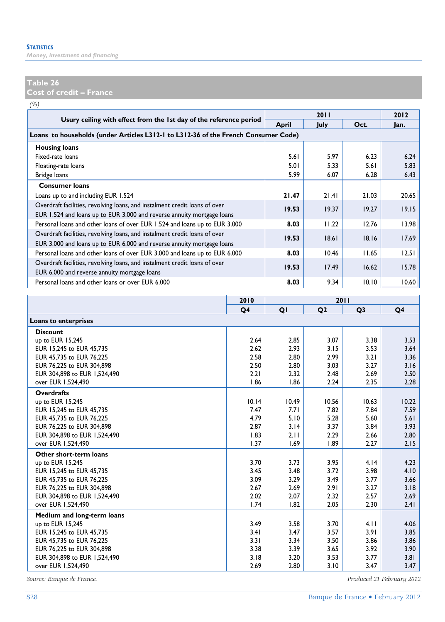*Money, investment and financing* 

#### **Table 26**

**Cost of credit – France** 

*(%)*

|                                                                                                                                                      |       | 2011  |       | 2012  |
|------------------------------------------------------------------------------------------------------------------------------------------------------|-------|-------|-------|-------|
| Usury ceiling with effect from the 1st day of the reference period                                                                                   | April | July  | Oct.  | Jan.  |
| Loans to households (under Articles L312-1 to L312-36 of the French Consumer Code)                                                                   |       |       |       |       |
| <b>Housing loans</b>                                                                                                                                 |       |       |       |       |
| Fixed-rate loans                                                                                                                                     | 5.61  | 5.97  | 6.23  | 6.24  |
| Floating-rate loans                                                                                                                                  | 5.01  | 5.33  | 5.61  | 5.83  |
| Bridge loans                                                                                                                                         | 5.99  | 6.07  | 6.28  | 6.43  |
| <b>Consumer loans</b>                                                                                                                                |       |       |       |       |
| Loans up to and including EUR 1.524                                                                                                                  | 21.47 | 21.41 | 21.03 | 20.65 |
| Overdraft facilities, revolving loans, and instalment credit loans of over<br>EUR 1.524 and loans up to EUR 3.000 and reverse annuity mortgage loans | 19.53 | 19.37 | 19.27 | 19.15 |
| Personal loans and other loans of over EUR 1.524 and loans up to EUR 3.000                                                                           | 8.03  | 11.22 | 12.76 | 13.98 |
| Overdraft facilities, revolving loans, and instalment credit loans of over<br>EUR 3.000 and loans up to EUR 6.000 and reverse annuity mortgage loans | 19.53 | 18.61 | 18.16 | 17.69 |
| Personal loans and other loans of over EUR 3.000 and loans up to EUR 6.000                                                                           | 8.03  | 10.46 | 11.65 | 12.51 |
| Overdraft facilities, revolving loans, and instalment credit loans of over<br>EUR 6.000 and reverse annuity mortgage loans                           | 19.53 | 17.49 | 16.62 | 15.78 |
| Personal loans and other loans or over EUR 6.000                                                                                                     | 8.03  | 9.34  | 10.10 | 10.60 |

|                              | 2010  |       | 2011           |                |       |
|------------------------------|-------|-------|----------------|----------------|-------|
|                              | Q4    | QI    | Q <sub>2</sub> | Q <sub>3</sub> | Q4    |
| Loans to enterprises         |       |       |                |                |       |
| <b>Discount</b>              |       |       |                |                |       |
| up to EUR 15.245             | 2.64  | 2.85  | 3.07           | 3.38           | 3.53  |
| EUR 15,245 to EUR 45,735     | 2.62  | 2.93  | 3.15           | 3.53           | 3.64  |
| EUR 45,735 to EUR 76,225     | 2.58  | 2.80  | 2.99           | 3.21           | 3.36  |
| EUR 76.225 to EUR 304.898    | 2.50  | 2.80  | 3.03           | 3.27           | 3.16  |
| EUR 304,898 to EUR 1,524,490 | 2.21  | 2.32  | 2.48           | 2.69           | 2.50  |
| over EUR 1,524,490           | 1.86  | 1.86  | 2.24           | 2.35           | 2.28  |
| <b>Overdrafts</b>            |       |       |                |                |       |
| up to EUR 15.245             | 10.14 | 10.49 | 10.56          | 10.63          | 10.22 |
| EUR 15.245 to EUR 45.735     | 7.47  | 7.71  | 7.82           | 7.84           | 7.59  |
| EUR 45,735 to EUR 76,225     | 4.79  | 5.10  | 5.28           | 5.60           | 5.61  |
| EUR 76,225 to EUR 304,898    | 2.87  | 3.14  | 3.37           | 3.84           | 3.93  |
| EUR 304,898 to EUR 1,524,490 | 1.83  | 2.11  | 2.29           | 2.66           | 2.80  |
| over EUR 1,524,490           | 1.37  | 1.69  | 1.89           | 2.27           | 2.15  |
| Other short-term loans       |       |       |                |                |       |
| up to EUR 15,245             | 3.70  | 3.73  | 3.95           | 4.14           | 4.23  |
| EUR 15.245 to EUR 45.735     | 3.45  | 3.48  | 3.72           | 3.98           | 4.10  |
| EUR 45,735 to EUR 76,225     | 3.09  | 3.29  | 3.49           | 3.77           | 3.66  |
| EUR 76.225 to EUR 304.898    | 2.67  | 2.69  | 2.91           | 3.27           | 3.18  |
| EUR 304,898 to EUR 1,524,490 | 2.02  | 2.07  | 2.32           | 2.57           | 2.69  |
| over EUR 1.524.490           | 1.74  | 1.82  | 2.05           | 2.30           | 2.41  |
| Medium and long-term loans   |       |       |                |                |       |
| up to EUR 15,245             | 3.49  | 3.58  | 3.70           | 4.11           | 4.06  |
| EUR 15,245 to EUR 45,735     | 3.41  | 3.47  | 3.57           | 3.91           | 3.85  |
| EUR 45.735 to EUR 76.225     | 3.31  | 3.34  | 3.50           | 3.86           | 3.86  |
| EUR 76,225 to EUR 304,898    | 3.38  | 3.39  | 3.65           | 3.92           | 3.90  |
| EUR 304,898 to EUR 1,524,490 | 3.18  | 3.20  | 3.53           | 3.77           | 3.81  |
| over EUR 1,524,490           | 2.69  | 2.80  | 3.10           | 3.47           | 3.47  |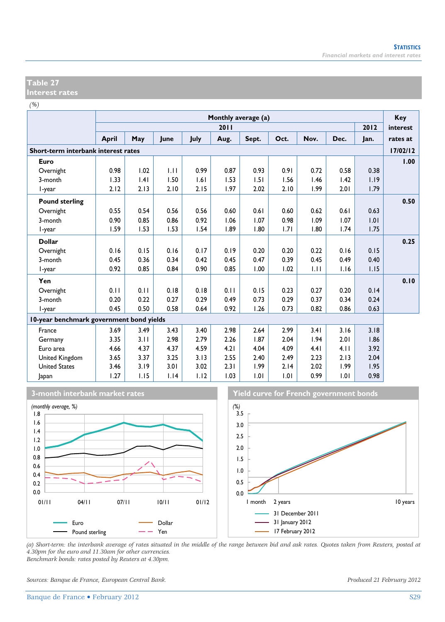#### **Table 27 Interest rates**

*(%)*

|                                          | Monthly average (a) |      |      |      |      |       |      |      |      | Key  |          |
|------------------------------------------|---------------------|------|------|------|------|-------|------|------|------|------|----------|
|                                          |                     |      |      |      | 2011 |       |      |      |      | 2012 | interest |
|                                          | <b>April</b>        | May  | June | July | Aug. | Sept. | Oct. | Nov. | Dec. | Jan. | rates at |
| Short-term interbank interest rates      |                     |      |      |      |      |       |      |      |      |      | 17/02/12 |
| Euro                                     |                     |      |      |      |      |       |      |      |      |      | 1.00     |
| Overnight                                | 0.98                | 1.02 | 1.11 | 0.99 | 0.87 | 0.93  | 0.91 | 0.72 | 0.58 | 0.38 |          |
| 3-month                                  | 1.33                | .4   | 1.50 | 1.61 | 1.53 | 1.51  | 1.56 | 1.46 | 1.42 | 1.19 |          |
| I-year                                   | 2.12                | 2.13 | 2.10 | 2.15 | 1.97 | 2.02  | 2.10 | 1.99 | 2.01 | 1.79 |          |
| <b>Pound sterling</b>                    |                     |      |      |      |      |       |      |      |      |      | 0.50     |
| Overnight                                | 0.55                | 0.54 | 0.56 | 0.56 | 0.60 | 0.61  | 0.60 | 0.62 | 0.61 | 0.63 |          |
| 3-month                                  | 0.90                | 0.85 | 0.86 | 0.92 | 1.06 | 1.07  | 0.98 | 1.09 | 1.07 | 1.01 |          |
| l-year                                   | 1.59                | 1.53 | 1.53 | 1.54 | 1.89 | 1.80  | 1.71 | 1.80 | 1.74 | 1.75 |          |
| <b>Dollar</b>                            |                     |      |      |      |      |       |      |      |      |      | 0.25     |
| Overnight                                | 0.16                | 0.15 | 0.16 | 0.17 | 0.19 | 0.20  | 0.20 | 0.22 | 0.16 | 0.15 |          |
| 3-month                                  | 0.45                | 0.36 | 0.34 | 0.42 | 0.45 | 0.47  | 0.39 | 0.45 | 0.49 | 0.40 |          |
| I-year                                   | 0.92                | 0.85 | 0.84 | 0.90 | 0.85 | 1.00  | 1.02 | 1.11 | 1.16 | 1.15 |          |
| Yen                                      |                     |      |      |      |      |       |      |      |      |      | 0.10     |
| Overnight                                | 0.11                | 0.11 | 0.18 | 0.18 | 0.11 | 0.15  | 0.23 | 0.27 | 0.20 | 0.14 |          |
| 3-month                                  | 0.20                | 0.22 | 0.27 | 0.29 | 0.49 | 0.73  | 0.29 | 0.37 | 0.34 | 0.24 |          |
| l-year                                   | 0.45                | 0.50 | 0.58 | 0.64 | 0.92 | 1.26  | 0.73 | 0.82 | 0.86 | 0.63 |          |
| 10-year benchmark government bond yields |                     |      |      |      |      |       |      |      |      |      |          |
| France                                   | 3.69                | 3.49 | 3.43 | 3.40 | 2.98 | 2.64  | 2.99 | 3.41 | 3.16 | 3.18 |          |
| Germany                                  | 3.35                | 3.11 | 2.98 | 2.79 | 2.26 | 1.87  | 2.04 | 1.94 | 2.01 | 1.86 |          |
| Euro area                                | 4.66                | 4.37 | 4.37 | 4.59 | 4.21 | 4.04  | 4.09 | 4.41 | 4.11 | 3.92 |          |
| United Kingdom                           | 3.65                | 3.37 | 3.25 | 3.13 | 2.55 | 2.40  | 2.49 | 2.23 | 2.13 | 2.04 |          |
| <b>United States</b>                     | 3.46                | 3.19 | 3.01 | 3.02 | 2.31 | 1.99  | 2.14 | 2.02 | 1.99 | 1.95 |          |
| Japan                                    | 1.27                | 1.15 | 1.14 | 1.12 | 1.03 | 1.01  | 1.01 | 0.99 | 1.01 | 0.98 |          |



*(a) Short-term: the interbank average of rates situated in the middle of the range between bid and ask rates. Quotes taken from Reuters, posted at 4.30pm for the euro and 11.30am for other currencies. Benchmark bonds: rates posted by Reuters at 4.30pm.* 

*Sources: Banque de France, European Central Bank. Produced 21 February 2012*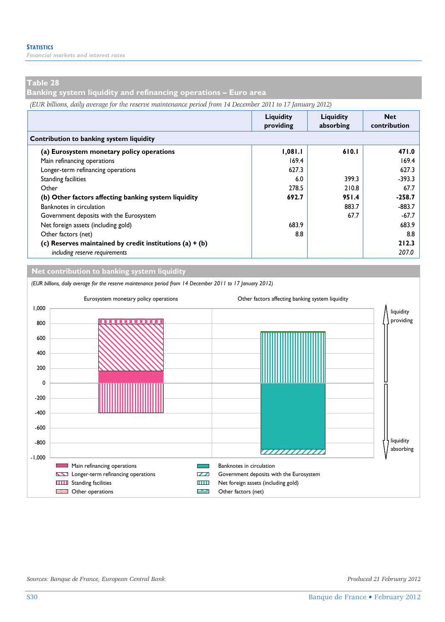*Financial markets and interest rates* 

#### **Table 28**

**Banking system liquidity and refinancing operations – Euro area** 

*(EUR billions, daily average for the reserve maintenance period from 14 December 2011 to 17 January 2012)*

|                                                            | Liquidity<br>providing | Liquidity<br>absorbing | <b>Net</b><br>contribution |
|------------------------------------------------------------|------------------------|------------------------|----------------------------|
| Contribution to banking system liquidity                   |                        |                        |                            |
| (a) Eurosystem monetary policy operations                  | 1,081.1                | 610.1                  | 471.0                      |
| Main refinancing operations                                | 169.4                  |                        | 169.4                      |
| Longer-term refinancing operations                         | 627.3                  |                        | 627.3                      |
| <b>Standing facilities</b>                                 | 6.0                    | 399.3                  | $-393.3$                   |
| Other                                                      | 278.5                  | 210.8                  | 67.7                       |
| (b) Other factors affecting banking system liquidity       | 692.7                  | 951.4                  | $-258.7$                   |
| Banknotes in circulation                                   |                        | 883.7                  | $-883.7$                   |
| Government deposits with the Eurosystem                    |                        | 67.7                   | $-67.7$                    |
| Net foreign assets (including gold)                        | 683.9                  |                        | 683.9                      |
| Other factors (net)                                        | 8.8                    |                        | 8.8                        |
| (c) Reserves maintained by credit institutions $(a) + (b)$ |                        |                        | 212.3                      |
| including reserve requirements                             |                        |                        | 207.0                      |

**Net contribution to banking system liquidity**

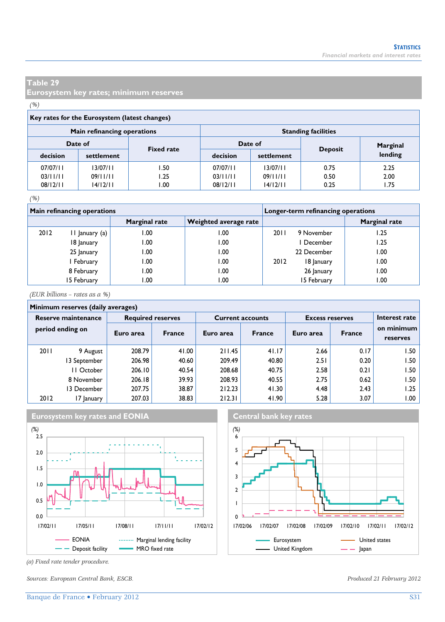**Eurosystem key rates; minimum reserves** 

#### *(%)*

|          | Key rates for the Eurosystem (latest changes) |                   |                            |            |                |          |  |  |  |  |  |  |
|----------|-----------------------------------------------|-------------------|----------------------------|------------|----------------|----------|--|--|--|--|--|--|
|          | Main refinancing operations                   |                   | <b>Standing facilities</b> |            |                |          |  |  |  |  |  |  |
|          | Date of                                       | <b>Fixed rate</b> | Date of                    |            |                | Marginal |  |  |  |  |  |  |
| decision | settlement                                    |                   | decision                   | settlement | <b>Deposit</b> | lending  |  |  |  |  |  |  |
| 07/07/11 | 13/07/11                                      | 50،،              | 07/07/11                   | 13/07/11   | 0.75           | 2.25     |  |  |  |  |  |  |
| 03/11/11 | 09/11/11                                      | 1.25              | 03/11/11                   | 09/11/11   | 0.50           | 2.00     |  |  |  |  |  |  |
| 08/12/11 | 14/12/11                                      | .00               | 08/12/11                   | 14/12/11   | 0.25           | 1.75     |  |  |  |  |  |  |
|          |                                               |                   |                            |            |                |          |  |  |  |  |  |  |

#### *(%)*

|      | Main refinancing operations |               |                       | Longer-term refinancing operations |             |               |  |  |
|------|-----------------------------|---------------|-----------------------|------------------------------------|-------------|---------------|--|--|
|      |                             | Marginal rate | Weighted average rate |                                    |             | Marginal rate |  |  |
| 2012 | II January (a)              | 1.00          | 00.۱                  | 2011                               | 9 November  | 1.25          |  |  |
|      | 18 January                  | 1.00          | 00.1                  |                                    | 1 December  | 1.25          |  |  |
|      | 25 January                  | 1.00          | 00.1                  |                                    | 22 December | .00           |  |  |
|      | I February                  | 1.00          | 1.00                  | 2012                               | 18 January  | 00.١          |  |  |
|      | 8 February                  | 1.00          | 00.1                  |                                    | 26 January  | .00           |  |  |
|      | 15 February                 | 00. ا         | 00. ا                 |                                    | 15 February | 00. ا         |  |  |

*(EUR billions – rates as a %)*

#### **Minimum reserves (daily averages)**

| Reserve maintenance<br>period ending on |             | <b>Required reserves</b> |               |           | <b>Current accounts</b> | <b>Excess reserves</b> | Interest rate |                        |  |  |  |
|-----------------------------------------|-------------|--------------------------|---------------|-----------|-------------------------|------------------------|---------------|------------------------|--|--|--|
|                                         |             | Euro area                | <b>France</b> | Euro area | <b>France</b>           | Euro area              | <b>France</b> | on minimum<br>reserves |  |  |  |
| 2011                                    | 9 August    | 208.79                   | 41.00         | 211.45    | 41.17                   | 2.66                   | 0.17          | 1.50                   |  |  |  |
|                                         | 3 September | 206.98                   | 40.60         | 209.49    | 40.80                   | 2.51                   | 0.20          | ا 50.                  |  |  |  |
|                                         | II October  | 206.10                   | 40.54         | 208.68    | 40.75                   | 2.58                   | 0.21          | ا 50.                  |  |  |  |
|                                         | 8 November  | 206.18                   | 39.93         | 208.93    | 40.55                   | 2.75                   | 0.62          | l.50                   |  |  |  |
|                                         | 13 December | 207.75                   | 38.87         | 212.23    | 41.30                   | 4.48                   | 2.43          | 1.25                   |  |  |  |
| 2012                                    | 17 January  | 207.03                   | 38.83         | 212.31    | 41.90                   | 5.28                   | 3.07          | .00 ا                  |  |  |  |



*(a) Fixed rate tender procedure.* 

*Sources: European Central Bank, ESCB. Produced 21 February 2012*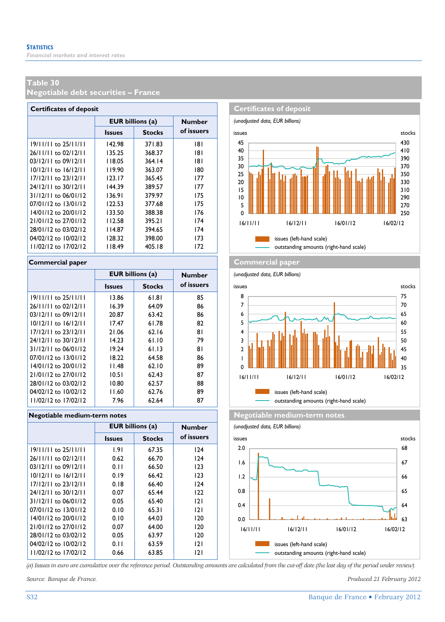**Negotiable debt securities – France** 

| <b>Certificates of deposit</b> |                         |               |               |  |  |  |  |  |  |  |
|--------------------------------|-------------------------|---------------|---------------|--|--|--|--|--|--|--|
|                                | <b>EUR</b> billions (a) |               | <b>Number</b> |  |  |  |  |  |  |  |
|                                | <b>Issues</b>           | <b>Stocks</b> | of issuers    |  |  |  |  |  |  |  |
| $19/11/11$ to $25/11/11$       | 142.98                  | 371.83        | 181           |  |  |  |  |  |  |  |
| 26/11/11 to 02/12/11           | 135.25                  | 368.37        | 181           |  |  |  |  |  |  |  |
| $03/12/11$ to $09/12/11$       | 118.05                  | 364.14        | 181           |  |  |  |  |  |  |  |
| $10/12/11$ to $16/12/11$       | 119.90                  | 363.07        | 180           |  |  |  |  |  |  |  |
| 17/12/11 to 23/12/11           | 123.17                  | 365.45        | 177           |  |  |  |  |  |  |  |
| 24/12/11 to 30/12/11           | 144.39                  | 389.57        | 177           |  |  |  |  |  |  |  |
| 31/12/11 to 06/01/12           | 136.91                  | 379.97        | 175           |  |  |  |  |  |  |  |
| 07/01/12 to 13/01/12           | 122.53                  | 377.68        | 175           |  |  |  |  |  |  |  |
| 14/01/12 to 20/01/12           | 133.50                  | 388.38        | 176           |  |  |  |  |  |  |  |
| 21/01/12 to 27/01/12           | 112.58                  | 395.21        | 174           |  |  |  |  |  |  |  |
| 28/01/12 to 03/02/12           | 114.87                  | 394.65        | 174           |  |  |  |  |  |  |  |
| 04/02/12 to 10/02/12           | 128.32                  | 398.00        | 173           |  |  |  |  |  |  |  |
| 11/02/12 to 17/02/12           | 118.49                  | 405.18        | 172           |  |  |  |  |  |  |  |

|                          | <b>EUR</b> billions (a) |               | <b>Number</b> |
|--------------------------|-------------------------|---------------|---------------|
|                          | <b>Issues</b>           | <b>Stocks</b> | of issuers    |
| $19/11/11$ to $25/11/11$ | 13.86                   | 61.81         | 85            |
| 26/11/11 to 02/12/11     | 16.39                   | 64.09         | 86            |
| $03/12/11$ to $09/12/11$ | 20.87                   | 63.42         | 86            |
| $10/12/11$ to $16/12/11$ | 17.47                   | 61.78         | 82            |
| $17/12/11$ to $23/12/11$ | 21.06                   | 62.16         | 81            |
| 24/12/11 to 30/12/11     | 14.23                   | 61.10         | 79            |
| 31/12/11 to 06/01/12     | 19.24                   | 61.13         | 81            |
| $07/01/12$ to $13/01/12$ | 18.22                   | 64.58         | 86            |
| 14/01/12 to 20/01/12     | 11.48                   | 62.10         | 89            |
| 21/01/12 to 27/01/12     | 10.51                   | 62.43         | 87            |
| 28/01/12 to 03/02/12     | 10.80                   | 62.57         | 88            |
| 04/02/12 to 10/02/12     | 11.60                   | 62.76         | 89            |
| 11/02/12 to 17/02/12     | 7.96                    | 62.64         | 87            |

|                          | <b>EUR billions (a)</b> |               | <b>Number</b> |  |  |  |  |  |  |  |
|--------------------------|-------------------------|---------------|---------------|--|--|--|--|--|--|--|
|                          | <b>Issues</b>           | <b>Stocks</b> | of issuers    |  |  |  |  |  |  |  |
| 19/11/11 to 25/11/11     | 1.91                    | 67.35         | 124           |  |  |  |  |  |  |  |
| 26/11/11 to 02/12/11     | 0.62                    | 66.70         | 124           |  |  |  |  |  |  |  |
| 03/12/11 to 09/12/11     | 0.11                    | 66.50         | 123           |  |  |  |  |  |  |  |
| $10/12/11$ to $16/12/11$ | 0.19                    | 66.42         | 123           |  |  |  |  |  |  |  |
| $17/12/11$ to $23/12/11$ | 0.18                    | 66.40         | 124           |  |  |  |  |  |  |  |
| 24/12/11 to 30/12/11     | 0.07                    | 65.44         | 122           |  |  |  |  |  |  |  |
| 31/12/11 to 06/01/12     | 0.05                    | 65.40         | 2             |  |  |  |  |  |  |  |
| 07/01/12 to 13/01/12     | 0.10                    | 65.31         | 2             |  |  |  |  |  |  |  |
| 14/01/12 to 20/01/12     | 0.10                    | 64.03         | 120           |  |  |  |  |  |  |  |
| 21/01/12 to 27/01/12     | 0.07                    | 64.00         | 120           |  |  |  |  |  |  |  |
| 28/01/12 to 03/02/12     | 0.05                    | 63.97         | 120           |  |  |  |  |  |  |  |
| 04/02/12 to 10/02/12     | 0.11                    | 63.59         | 2             |  |  |  |  |  |  |  |
| 11/02/12 to 17/02/12     | 0.66                    | 63.85         | 121           |  |  |  |  |  |  |  |



#### **Commercial paper Commercial paper**

*(unadjusted data, EUR billions)*



**Negotiable medium-term notes Negotiable medium-term notes** 





*(a) Issues in euro are cumulative over the reference period. Outstanding amounts are calculated from the cut-off date (the last day of the period under review).*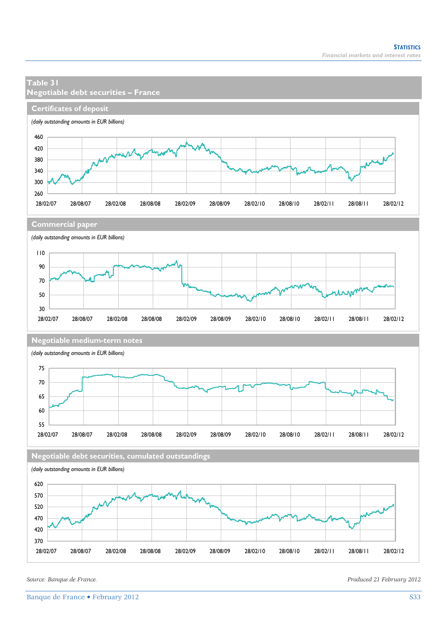

28/02/07 28/08/07 28/02/08 28/08/08 28/02/09 28/08/09 28/02/10 28/08/10 28/02/11 28/08/11 28/02/12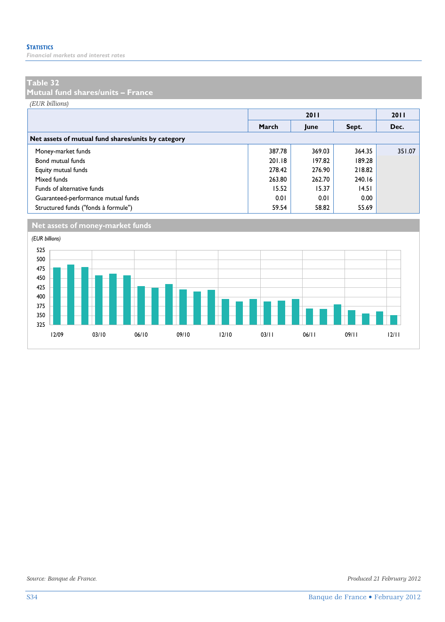*Financial markets and interest rates* 

#### **Table 32**

**Mutual fund shares/units – France** 

*(EUR billions)*

|                                                    |        | 2011   |        | 2011   |
|----------------------------------------------------|--------|--------|--------|--------|
|                                                    | March  | June   | Sept.  | Dec.   |
| Net assets of mutual fund shares/units by category |        |        |        |        |
| Money-market funds                                 | 387.78 | 369.03 | 364.35 | 351.07 |
| Bond mutual funds                                  | 201.18 | 197.82 | 189.28 |        |
| Equity mutual funds                                | 278.42 | 276.90 | 218.82 |        |
| Mixed funds                                        | 263.80 | 262.70 | 240.16 |        |
| Funds of alternative funds                         | 15.52  | 15.37  | 14.51  |        |
| Guaranteed-performance mutual funds                | 0.01   | 0.01   | 0.00   |        |
| Structured funds ("fonds à formule")               | 59.54  | 58.82  | 55.69  |        |



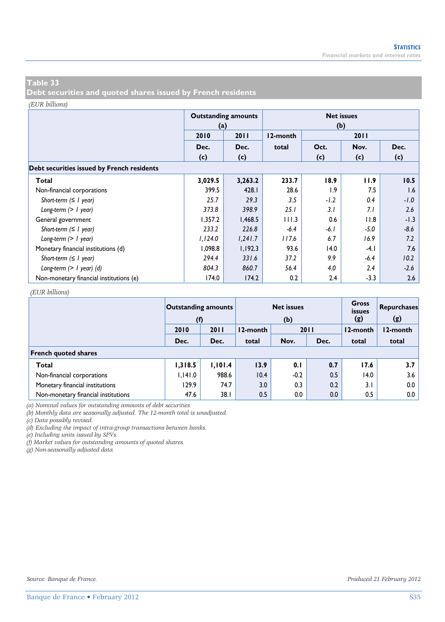**Debt securities and quoted shares issued by French residents** 

#### *(EUR billions)*

|                                            | (a)     | <b>Outstanding amounts</b> | <b>Net issues</b><br>(b) |        |        |        |  |  |  |  |  |
|--------------------------------------------|---------|----------------------------|--------------------------|--------|--------|--------|--|--|--|--|--|
|                                            | 2010    | 2011                       | 12-month                 |        | 2011   |        |  |  |  |  |  |
|                                            | Dec.    | Dec.                       | total                    | Oct.   | Nov.   | Dec.   |  |  |  |  |  |
|                                            | (c)     | (c)                        |                          | (c)    | (c)    | (c)    |  |  |  |  |  |
| Debt securities issued by French residents |         |                            |                          |        |        |        |  |  |  |  |  |
| Total                                      | 3,029.5 | 3,263.2                    | 233.7                    | 18.9   | 11.9   | 10.5   |  |  |  |  |  |
| Non-financial corporations                 | 399.5   | 428.1                      | 28.6                     | 1.9    | 7.5    | 1.6    |  |  |  |  |  |
| Short-term $( \leq l$ year)                | 25.7    | 29.3                       | 3.5                      | $-1.2$ | 0.4    | $-1.0$ |  |  |  |  |  |
| Long-term $(> 1$ year)                     | 373.8   | 398.9                      | 25.1                     | 3.1    | 7.1    | 2.6    |  |  |  |  |  |
| General government                         | 1,357.2 | 1,468.5                    | 111.3                    | 0.6    | 11.8   | $-1.3$ |  |  |  |  |  |
| Short-term $( \leq l$ year)                | 233.2   | 226.8                      | $-6.4$                   | $-6.1$ | $-5.0$ | $-8.6$ |  |  |  |  |  |
| Long-term $(> 1$ year)                     | 1,124.0 | 1,241.7                    | 117.6                    | 6.7    | 16.9   | 7.2    |  |  |  |  |  |
| Monetary financial institutions (d)        | 1,098.8 | 1,192.3                    | 93.6                     | 14.0   | $-4.1$ | 7.6    |  |  |  |  |  |
| Short-term $( \leq l$ year)                | 294.4   | 331.6                      | 37.2                     | 9.9    | $-6.4$ | 10.2   |  |  |  |  |  |
| Long-term $(> 1$ year) (d)                 | 804.3   | 860.7                      | 56.4                     | 4.0    | 2.4    | $-2.6$ |  |  |  |  |  |
| Non-monetary financial institutions (e)    | 174.0   | 174.2                      | 0.2                      | 2.4    | $-3.3$ | 2.6    |  |  |  |  |  |

#### *(EUR billions)*

|                                     | <b>Outstanding amounts</b><br>(f) |         |          | <b>Net issues</b><br>(b) | <b>Gross</b><br>issues<br>(g) | <b>Repurchases</b><br>(g) |                  |  |  |  |  |
|-------------------------------------|-----------------------------------|---------|----------|--------------------------|-------------------------------|---------------------------|------------------|--|--|--|--|
|                                     | 2010                              | 2011    | 12-month | 2011                     |                               | 12-month                  | l 2-month        |  |  |  |  |
|                                     | Dec.                              | Dec.    | total    | Nov.                     | Dec.                          | total                     | total            |  |  |  |  |
| <b>French quoted shares</b>         |                                   |         |          |                          |                               |                           |                  |  |  |  |  |
| Total                               | 1,318.5                           | 1,101.4 | 13.9     | 0.1                      | 0.7                           | 17.6                      | 3.7 <sub>1</sub> |  |  |  |  |
| Non-financial corporations          | 1,141.0                           | 988.6   | 10.4     | $-0.2$                   | 0.5                           | 14.0                      | 3.6              |  |  |  |  |
| Monetary financial institutions     | 129.9                             | 74.7    | 3.0      | 0.3                      | 0.2                           | 3.1                       | 0.0              |  |  |  |  |
| Non-monetary financial institutions | 47.6                              | 38.1    | 0.5      | 0.0                      | 0.0                           | 0.5                       | 0.0              |  |  |  |  |

*(a) Nominal values for outstanding amounts of debt securities.* 

*(b) Monthly data are seasonally adjusted. The 12-month total is unadjusted.* 

*(c) Data possibly revised.* 

*(d) Excluding the impact of intra-group transactions between banks.* 

*(e) Including units issued by SPVs.* 

*(f) Market values for outstanding amounts of quoted shares.* 

*(g) Non-seasonally adjusted data.*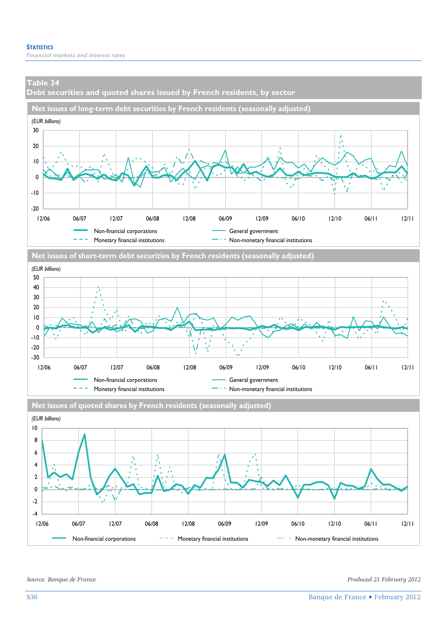**Debt securities and quoted shares issued by French residents, by sector** 







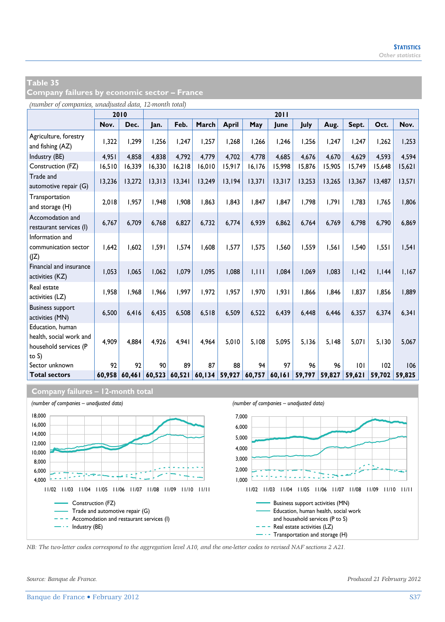| Company failures by economic sector – France |  |  |  |  |  |
|----------------------------------------------|--|--|--|--|--|
|----------------------------------------------|--|--|--|--|--|

*(number of companies, unadjusted data, 12-month total)*

|                                                                                  |        | 2010   |        |        |         |              |        | 2011   |        |        |        |        |        |
|----------------------------------------------------------------------------------|--------|--------|--------|--------|---------|--------------|--------|--------|--------|--------|--------|--------|--------|
|                                                                                  | Nov.   | Dec.   | Jan.   | Feb.   | March   | <b>April</b> | May    | June   | July   | Aug.   | Sept.  | Oct.   | Nov.   |
| Agriculture, forestry<br>and fishing (AZ)                                        | 1,322  | 1,299  | 1,256  | 1,247  | 1,257   | 1,268        | 1,266  | 1,246  | 1,256  | 1.247  | 1,247  | 1,262  | 1,253  |
| Industry (BE)                                                                    | 4.951  | 4.858  | 4.838  | 4.792  | 4,779   | 4.702        | 4.778  | 4.685  | 4.676  | 4.670  | 4.629  | 4.593  | 4.594  |
| Construction (FZ)                                                                | 16,510 | 16,339 | 16,330 | 16,218 | 16,010  | 15,917       | 16,176 | 15,998 | 15,876 | 15,905 | 15,749 | 15,648 | 15,621 |
| Trade and<br>automotive repair (G)                                               | 13,236 | 13,272 | 13,313 | 13,341 | 13,249  | 13,194       | 13,371 | 13,317 | 13,253 | 13,265 | 13,367 | 13,487 | 13,571 |
| Transportation<br>and storage (H)                                                | 2,018  | 1,957  | 1,948  | 1,908  | 1,863   | 1,843        | 1.847  | 1,847  | 1,798  | 1,791  | 1,783  | 1,765  | 1,806  |
| Accomodation and<br>restaurant services (I)                                      | 6,767  | 6,709  | 6,768  | 6,827  | 6,732   | 6,774        | 6,939  | 6,862  | 6,764  | 6,769  | 6,798  | 6,790  | 6,869  |
| Information and<br>communication sector<br>(IZ)                                  | 1,642  | 1.602  | 1,591  | 1.574  | 1.608   | 1.577        | 1,575  | 1,560  | 1.559  | 1,561  | 1,540  | 1,551  | 1,541  |
| Financial and insurance<br>activities (KZ)                                       | 1,053  | 1.065  | 1.062  | 1.079  | 1.095   | 1,088        | 1,111  | 1,084  | 1.069  | 1,083  | 1,142  | 1.144  | 1,167  |
| Real estate<br>activities (LZ)                                                   | 1,958  | 1,968  | 1,966  | 1.997  | 1,972   | 1,957        | 1.970  | 1,931  | 1,866  | 1,846  | 1,837  | 1,856  | 1,889  |
| <b>Business support</b><br>activities (MN)                                       | 6,500  | 6,416  | 6,435  | 6.508  | 6,518   | 6,509        | 6,522  | 6,439  | 6,448  | 6,446  | 6,357  | 6,374  | 6,341  |
| Education, human<br>health, social work and<br>household services (P<br>to $S$ ) | 4,909  | 4,884  | 4,926  | 4,941  | 4,964   | 5,010        | 5,108  | 5,095  | 5,136  | 5,148  | 5,071  | 5,130  | 5,067  |
| Sector unknown                                                                   | 92     | 92     | 90     | 89     | 87      | 88           | 94     | 97     | 96     | 96     | 101    | 102    | 106    |
| <b>Total sectors</b>                                                             | 60,958 | 60.461 | 60.523 | 60.521 | 60, 134 | 59,927       | 60,757 | 60,161 | 59,797 | 59,827 | 59.621 | 59.702 | 59.825 |

#### **Company failures – 12-month total**



*NB: The two-letter codes correspond to the aggregation level A10, and the one-letter codes to revised NAF sections 2 A21.*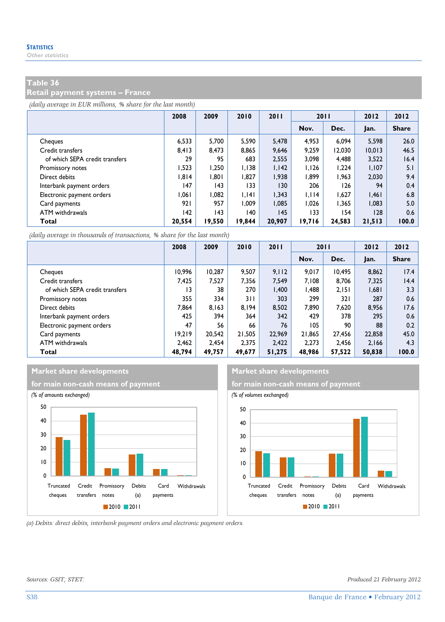#### **Retail payment systems – France**

*(daily average in EUR millions, % share for the last month)*

|                                | 2008   | 2009   | 2010   | 2011   | 2011   |        | 2012   | 2012         |
|--------------------------------|--------|--------|--------|--------|--------|--------|--------|--------------|
|                                |        |        |        |        | Nov.   | Dec.   | Jan.   | <b>Share</b> |
| Cheques                        | 6.533  | 5.700  | 5.590  | 5.478  | 4.953  | 6.094  | 5.598  | 26.0         |
| Credit transfers               | 8,413  | 8.473  | 8.865  | 9.646  | 9.259  | 12,030 | 10.013 | 46.5         |
| of which SEPA credit transfers | 29     | 95     | 683    | 2,555  | 3,098  | 4,488  | 3,522  | 16.4         |
| Promissory notes               | 1,523  | 1.250  | 1.138  | 1.142  | 1,126  | 1.224  | 1,107  | 5.1          |
| Direct debits                  | 1.814  | 1.801  | 1.827  | 1.938  | 1.899  | 1.963  | 2.030  | 9.4          |
| Interbank payment orders       | 147    | 143    | 133    | 130    | 206    | 126    | 94     | 0.4          |
| Electronic payment orders      | 1.061  | 1.082  | 1.141  | 1.343  | 1.114  | 1.627  | 1,461  | 6.8          |
| Card payments                  | 921    | 957    | 1.009  | 1.085  | 1.026  | 1.365  | 1,083  | 5.0          |
| ATM withdrawals                | 142    | 143    | 140    | 145    | 133    | 154    | 128    | 0.6          |
| Total                          | 20,554 | 19,550 | 19,844 | 20.907 | 19.716 | 24,583 | 21,513 | 100.0        |

*(daily average in thousands of transactions, % share for the last month)*

|                                | 2008   | 2009   | 2010   | 2011   | 2011   |        | 2012   | 2012         |
|--------------------------------|--------|--------|--------|--------|--------|--------|--------|--------------|
|                                |        |        |        |        | Nov.   | Dec.   | Jan.   | <b>Share</b> |
| Cheques                        | 10.996 | 10,287 | 9.507  | 9.112  | 9.017  | 10.495 | 8,862  | 17.4         |
| Credit transfers               | 7.425  | 7.527  | 7.356  | 7.549  | 7.108  | 8.706  | 7.325  | 14.4         |
| of which SEPA credit transfers | 13     | 38     | 270    | 1.400  | 1.488  | 2,151  | 1,681  | 3.3          |
| Promissory notes               | 355    | 334    | 3 I I  | 303    | 299    | 32 I   | 287    | 0.6          |
| Direct debits                  | 7.864  | 8.163  | 8.194  | 8.502  | 7.890  | 7.620  | 8.956  | 17.6         |
| Interbank payment orders       | 425    | 394    | 364    | 342    | 429    | 378    | 295    | 0.6          |
| Electronic payment orders      | 47     | 56     | 66     | 76     | 105    | 90     | 88     | 0.2          |
| Card payments                  | 19.219 | 20.542 | 21,505 | 22,969 | 21.865 | 27.456 | 22,858 | 45.0         |
| ATM withdrawals                | 2.462  | 2.454  | 2.375  | 2.422  | 2.273  | 2.456  | 2.166  | 4.3          |
| Total                          | 48.794 | 49,757 | 49,677 | 51,275 | 48.986 | 57,522 | 50,838 | 100.0        |





*(a) Debits: direct debits, interbank payment orders and electronic payment orders.* 

*Sources: GSIT, STET. Produced 21 February 2012*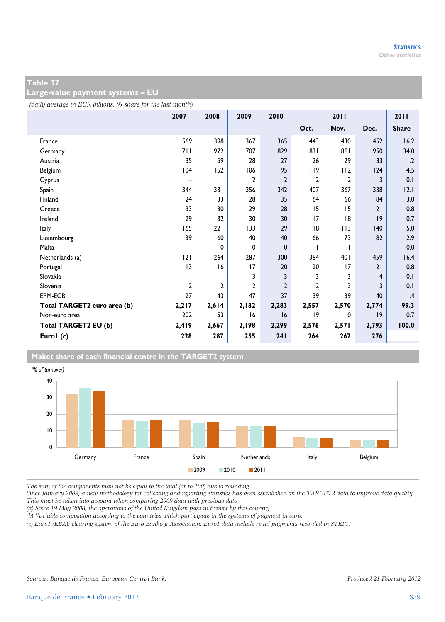**Large-value payment systems – EU** 

*(daily average in EUR billions, % share for the last month)*

|                             | 2007           | 2008           | 2009         | 2010           |                | 2011         |       | 2011         |
|-----------------------------|----------------|----------------|--------------|----------------|----------------|--------------|-------|--------------|
|                             |                |                |              |                | Oct.           | Nov.         | Dec.  | <b>Share</b> |
| France                      | 569            | 398            | 367          | 365            | 443            | 430          | 452   | 16.2         |
| Germany                     | 711            | 972            | 707          | 829            | 831            | 881          | 950   | 34.0         |
| Austria                     | 35             | 59             | 28           | 27             | 26             | 29           | 33    | 1.2          |
| Belgium                     | 104            | 152            | 106          | 95             | 119            | 112          | 124   | 4.5          |
| Cyprus                      | -              |                | 2            | $\overline{2}$ | $\overline{2}$ | $\mathbf{2}$ | 3     | 0.1          |
| Spain                       | 344            | 331            | 356          | 342            | 407            | 367          | 338   | 2.1          |
| Finland                     | 24             | 33             | 28           | 35             | 64             | 66           | 84    | 3.0          |
| Greece                      | 33             | 30             | 29           | 28             | 15             | 15           | 21    | 0.8          |
| Ireland                     | 29             | 32             | 30           | 30             | 17             | 8            | 9     | 0.7          |
| <b>Italy</b>                | 165            | 221            | 133          | 129            | $ $ $ $ 8      | 113          | 140   | 5.0          |
| Luxembourg                  | 39             | 60             | 40           | 40             | 66             | 73           | 82    | 2.9          |
| Malta                       | -              | 0              | 0            | 0              |                |              |       | 0.0          |
| Netherlands (a)             | 2              | 264            | 287          | 300            | 384            | 401          | 459   | 16.4         |
| Portugal                    | 3              | 16             | 17           | 20             | 20             | 17           | 21    | 0.8          |
| Slovakia                    | -              | -              | 3            | 3              | 3              | 3            | 4     | 0.1          |
| Slovenia                    | $\overline{2}$ | $\overline{2}$ | $\mathbf{c}$ | $\overline{2}$ | $\overline{2}$ | 3            | 3     | 0.1          |
| <b>EPM-ECB</b>              | 27             | 43             | 47           | 37             | 39             | 39           | 40    | 1.4          |
| Total TARGET2 euro area (b) | 2,217          | 2,614          | 2,182        | 2,283          | 2,557          | 2,570        | 2,774 | 99.3         |
| Non-euro area               | 202            | 53             | 16           | 16             | 9              | 0            | 9     | 0.7          |
| Total TARGET2 EU (b)        | 2,419          | 2,667          | 2,198        | 2,299          | 2,576          | 2,571        | 2,793 | 100.0        |
| Eurol (c)                   | 228            | 287            | 255          | 241            | 264            | 267          | 276   |              |

#### **Maket share of each financial centre in the TARGET2 system**



*The sum of the components may not be equal to the total (or to 100) due to rounding.* 

*Since January 2009, a new methodology for collecting and reporting statistics has been established on the TARGET2 data to improve data quality. This must be taken into account when comparing 2009 data with previous data.* 

*(a) Since 19 May 2008, the operations of the United Kingdom pass in transit by this country.* 

*(b) Variable composition according to the countries which participate in the systems of payment in euro.* 

*(c) Euro1 (EBA): clearing system of the Euro Banking Association. Euro1 data include retail payments recorded in STEP1.*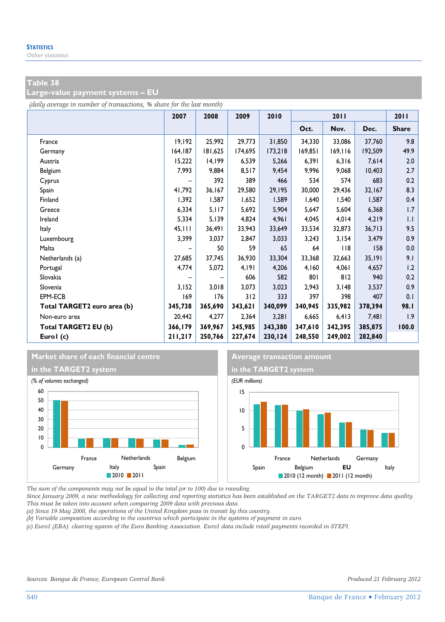**Large-value payment systems – EU** 

*(daily average in number of transactions, % share for the last month)*

|                             | 2007    | 2008    | 2009    | 2010    |         | 2011      |         | 2011         |
|-----------------------------|---------|---------|---------|---------|---------|-----------|---------|--------------|
|                             |         |         |         |         | Oct.    | Nov.      | Dec.    | <b>Share</b> |
| France                      | 19,192  | 25,992  | 29,773  | 31,850  | 34,330  | 33,086    | 37,760  | 9.8          |
| Germany                     | 164,187 | 181,625 | 174,695 | 173,218 | 169,851 | 169, 116  | 192,509 | 49.9         |
| Austria                     | 15,222  | 14,199  | 6,539   | 5,266   | 6,391   | 6,316     | 7,614   | 2.0          |
| Belgium                     | 7,993   | 9,884   | 8,517   | 9,454   | 9,996   | 9,068     | 10,403  | 2.7          |
| Cyprus                      |         | 392     | 389     | 466     | 534     | 574       | 683     | 0.2          |
| Spain                       | 41,792  | 36,167  | 29,580  | 29,195  | 30,000  | 29,436    | 32,167  | 8.3          |
| Finland                     | 1,392   | 1,587   | 1,652   | 1,589   | 1,640   | 1,540     | 1,587   | 0.4          |
| Greece                      | 6,334   | 5,117   | 5,692   | 5,904   | 5,647   | 5,604     | 6,368   | 1.7          |
| Ireland                     | 5,334   | 5,139   | 4,824   | 4,961   | 4,045   | 4,014     | 4,219   | 1.1          |
| Italy                       | 45,111  | 36,491  | 33,943  | 33,649  | 33,534  | 32,873    | 36,713  | 9.5          |
| Luxembourg                  | 3,399   | 3,037   | 2,847   | 3,033   | 3,243   | 3,154     | 3,479   | 0.9          |
| Malta                       |         | 50      | 59      | 65      | 64      | $ $ $ $ 8 | 158     | 0.0          |
| Netherlands (a)             | 27,685  | 37,745  | 36,930  | 33,304  | 33,368  | 32,663    | 35,191  | 9.1          |
| Portugal                    | 4,774   | 5,072   | 4,191   | 4,206   | 4,160   | 4,061     | 4,657   | 1.2          |
| Slovakia                    |         |         | 606     | 582     | 801     | 812       | 940     | 0.2          |
| Slovenia                    | 3,152   | 3,018   | 3,073   | 3,023   | 2,943   | 3,148     | 3,537   | 0.9          |
| EPM-ECB                     | 169     | 176     | 312     | 333     | 397     | 398       | 407     | 0.1          |
| Total TARGET2 euro area (b) | 345,738 | 365,690 | 343,621 | 340,099 | 340,945 | 335,982   | 378,394 | 98.I         |
| Non-euro area               | 20,442  | 4,277   | 2,364   | 3,281   | 6,665   | 6,413     | 7,481   | 1.9          |
| Total TARGET2 EU (b)        | 366,179 | 369,967 | 345,985 | 343,380 | 347,610 | 342,395   | 385,875 | 100.0        |
| Eurol (c)                   | 211,217 | 250,766 | 227,674 | 230,124 | 248,550 | 249,002   | 282,840 |              |

#### **Market share of each financial centre Average transaction amount**





*The sum of the components may not be equal to the total (or to 100) due to rounding.* 

*Since January 2009, a new methodology for collecting and reporting statistics has been established on the TARGET2 data to improve data quality. This must be taken into account when comparing 2009 data with previous data.* 

*(a) Since 19 May 2008, the operations of the United Kingdom pass in transit by this country.* 

*(b) Variable composition according to the countries which participate in the systems of payment in euro.* 

*(c) Euro1 (EBA): clearing system of the Euro Banking Association. Euro1 data include retail payments recorded in STEP1.*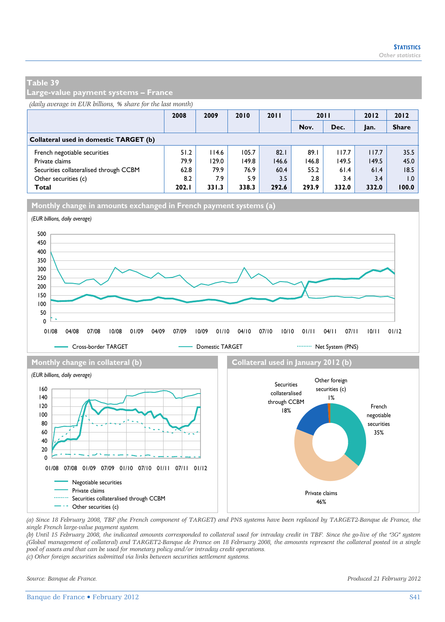**Large-value payment systems – France** 

*(daily average in EUR billions, % share for the last month)*

|                                        | 2008  | 2009  | 2010  | 2011  | 2011  |       | 2012  | 2012         |
|----------------------------------------|-------|-------|-------|-------|-------|-------|-------|--------------|
|                                        |       |       |       |       | Nov.  | Dec.  | Jan.  | <b>Share</b> |
| Collateral used in domestic TARGET (b) |       |       |       |       |       |       |       |              |
| French negotiable securities           | 51.2  | 114.6 | 105.7 | 82.1  | 89.1  | 117.7 | 117.7 | 35.5         |
| Private claims                         | 79.9  | 129.0 | 149.8 | 146.6 | 146.8 | 149.5 | 149.5 | 45.0         |
| Securities collateralised through CCBM | 62.8  | 79.9  | 76.9  | 60.4  | 55.2  | 61.4  | 61.4  | 18.5         |
| Other securities (c)                   | 8.2   | 7.9   | 5.9   | 3.5   | 2.8   | 3.4   | 3.4   | 0.1          |
| Total                                  | 202.1 | 331.3 | 338.3 | 292.6 | 293.9 | 332.0 | 332.0 | 100.0        |

**Monthly change in amounts exchanged in French payment systems (a)**



*(a) Since 18 February 2008, TBF (the French component of TARGET) and PNS systems have been replaced by TARGET2-Banque de France, the single French large-value payment system.* 

*(b) Until 15 February 2008, the indicated amounts corresponded to collateral used for intraday credit in TBF. Since the go-live of the "3G" system (Global management of collateral) and TARGET2-Banque de France on 18 February 2008, the amounts represent the collateral posted in a single pool of assets and that can be used for monetary policy and/or intraday credit operations.* 

*(c) Other foreign securities submitted via links between securities settlement systems.*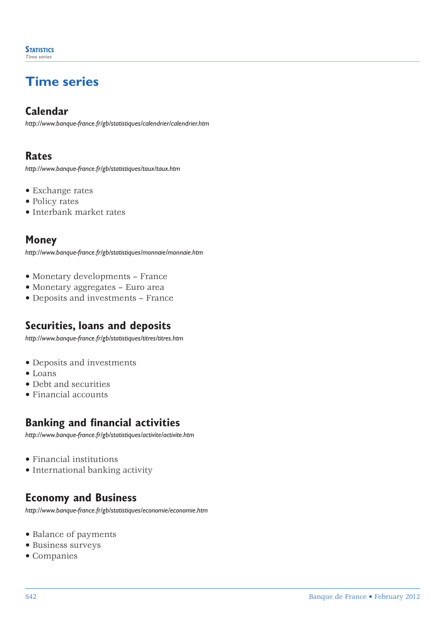## **Time series**

#### **Calendar**

*http://www.banque-france.fr/gb/statistiques/calendrier/calendrier.htm*

#### **Rates**

*http://www.banque-france.fr/gb/statistiques/taux/taux.htm*

- Exchange rates
- Policy rates
- Interbank market rates

#### **Money**

*http://www.banque-france.fr/gb/statistiques/monnaie/monnaie.htm*

- Monetary developments France
- Monetary aggregates Euro area
- Deposits and investments France

#### **Securities, loans and deposits**

*http://www.banque-france.fr/gb/statistiques/titres/titres.htm*

- Deposits and investments
- Loans
- Debt and securities
- Financial accounts

#### **Banking and financial activities**

*http://www.banque-france.fr/gb/statistiques/activite/activite.htm*

- Financial institutions
- International banking activity

#### **Economy and Business**

*http://www.banque-france.fr/gb/statistiques/economie/economie.htm*

- Balance of payments
- Business surveys
- Companies